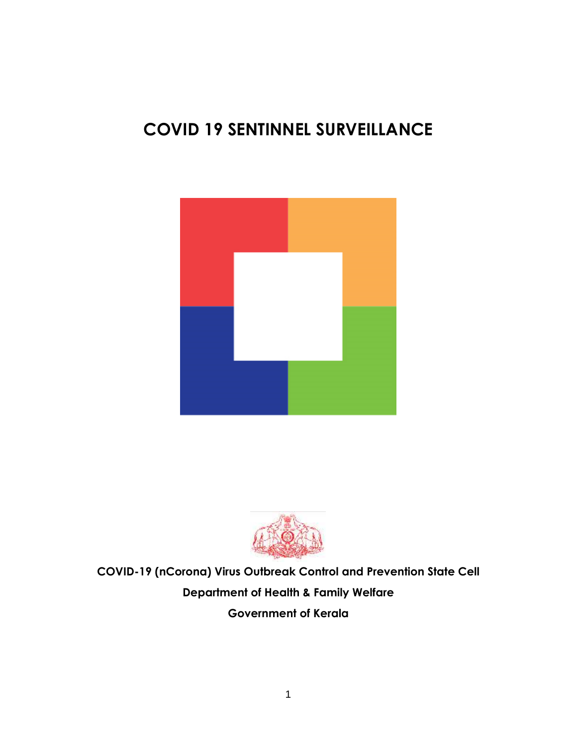# **COVID 19 SENTINNEL SURVEILLANCE**





**COVID-19 (nCorona) Virus Outbreak Control and Prevention State Cell Department of Health & Family Welfare Government of Kerala**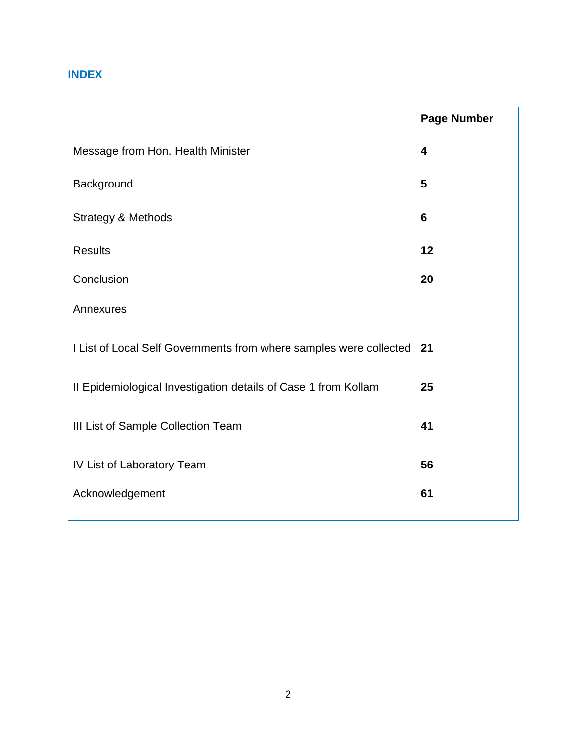## **INDEX**

|                                                                       | <b>Page Number</b> |
|-----------------------------------------------------------------------|--------------------|
| Message from Hon. Health Minister                                     | 4                  |
| Background                                                            | 5                  |
| <b>Strategy &amp; Methods</b>                                         | 6                  |
| <b>Results</b>                                                        | 12                 |
| Conclusion                                                            | 20                 |
| Annexures                                                             |                    |
| I List of Local Self Governments from where samples were collected 21 |                    |
| II Epidemiological Investigation details of Case 1 from Kollam        | 25                 |
| III List of Sample Collection Team                                    | 41                 |
| IV List of Laboratory Team                                            | 56                 |
| Acknowledgement                                                       | 61                 |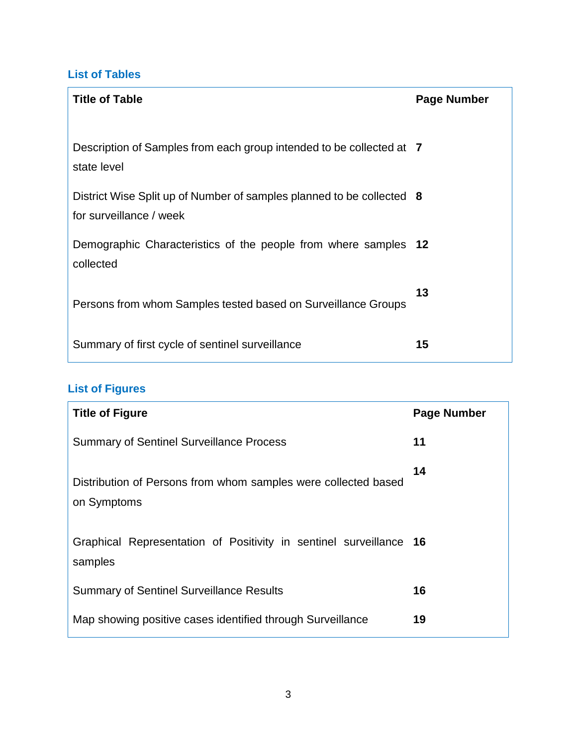## **List of Tables**

| <b>Title of Table</b>                                                                            | Page Number |
|--------------------------------------------------------------------------------------------------|-------------|
| Description of Samples from each group intended to be collected at 7<br>state level              |             |
| District Wise Split up of Number of samples planned to be collected 8<br>for surveillance / week |             |
| Demographic Characteristics of the people from where samples 12<br>collected                     |             |
| Persons from whom Samples tested based on Surveillance Groups                                    | 13          |
| Summary of first cycle of sentinel surveillance                                                  | 15          |

# **List of Figures**

| <b>Title of Figure</b>                                                        | <b>Page Number</b> |
|-------------------------------------------------------------------------------|--------------------|
| <b>Summary of Sentinel Surveillance Process</b>                               | 11                 |
| Distribution of Persons from whom samples were collected based<br>on Symptoms | 14                 |
| Graphical Representation of Positivity in sentinel surveillance 16<br>samples |                    |
| <b>Summary of Sentinel Surveillance Results</b>                               | 16                 |
| Map showing positive cases identified through Surveillance                    | 19                 |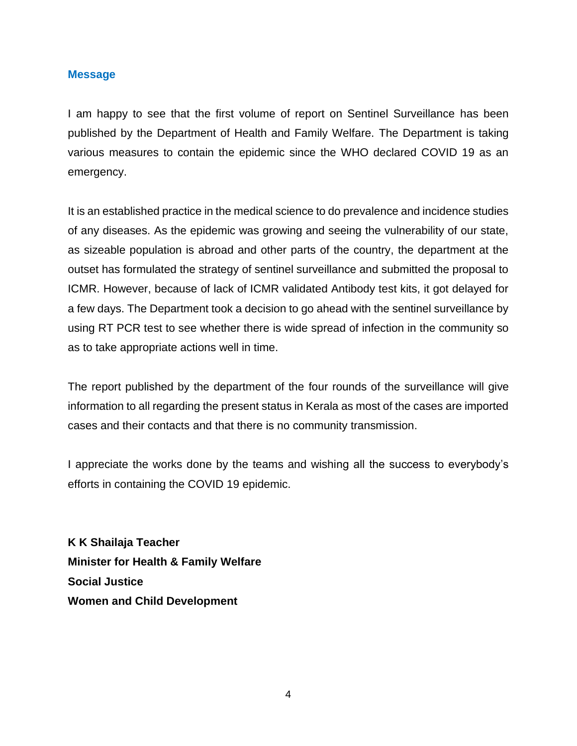#### **Message**

I am happy to see that the first volume of report on Sentinel Surveillance has been published by the Department of Health and Family Welfare. The Department is taking various measures to contain the epidemic since the WHO declared COVID 19 as an emergency.

It is an established practice in the medical science to do prevalence and incidence studies of any diseases. As the epidemic was growing and seeing the vulnerability of our state, as sizeable population is abroad and other parts of the country, the department at the outset has formulated the strategy of sentinel surveillance and submitted the proposal to ICMR. However, because of lack of ICMR validated Antibody test kits, it got delayed for a few days. The Department took a decision to go ahead with the sentinel surveillance by using RT PCR test to see whether there is wide spread of infection in the community so as to take appropriate actions well in time.

The report published by the department of the four rounds of the surveillance will give information to all regarding the present status in Kerala as most of the cases are imported cases and their contacts and that there is no community transmission.

I appreciate the works done by the teams and wishing all the success to everybody's efforts in containing the COVID 19 epidemic.

**K K Shailaja Teacher Minister for Health & Family Welfare Social Justice Women and Child Development**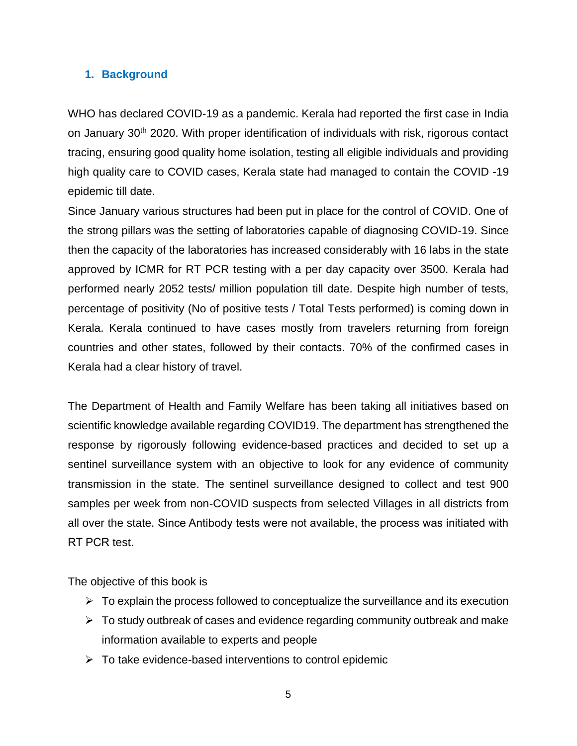### **1. Background**

WHO has declared COVID-19 as a pandemic. Kerala had reported the first case in India on January 30<sup>th</sup> 2020. With proper identification of individuals with risk, rigorous contact tracing, ensuring good quality home isolation, testing all eligible individuals and providing high quality care to COVID cases, Kerala state had managed to contain the COVID -19 epidemic till date.

Since January various structures had been put in place for the control of COVID. One of the strong pillars was the setting of laboratories capable of diagnosing COVID-19. Since then the capacity of the laboratories has increased considerably with 16 labs in the state approved by ICMR for RT PCR testing with a per day capacity over 3500. Kerala had performed nearly 2052 tests/ million population till date. Despite high number of tests, percentage of positivity (No of positive tests / Total Tests performed) is coming down in Kerala. Kerala continued to have cases mostly from travelers returning from foreign countries and other states, followed by their contacts. 70% of the confirmed cases in Kerala had a clear history of travel.

The Department of Health and Family Welfare has been taking all initiatives based on scientific knowledge available regarding COVID19. The department has strengthened the response by rigorously following evidence-based practices and decided to set up a sentinel surveillance system with an objective to look for any evidence of community transmission in the state. The sentinel surveillance designed to collect and test 900 samples per week from non-COVID suspects from selected Villages in all districts from all over the state. Since Antibody tests were not available, the process was initiated with RT PCR test.

The objective of this book is

- $\triangleright$  To explain the process followed to conceptualize the surveillance and its execution
- $\triangleright$  To study outbreak of cases and evidence regarding community outbreak and make information available to experts and people
- $\triangleright$  To take evidence-based interventions to control epidemic
	- 5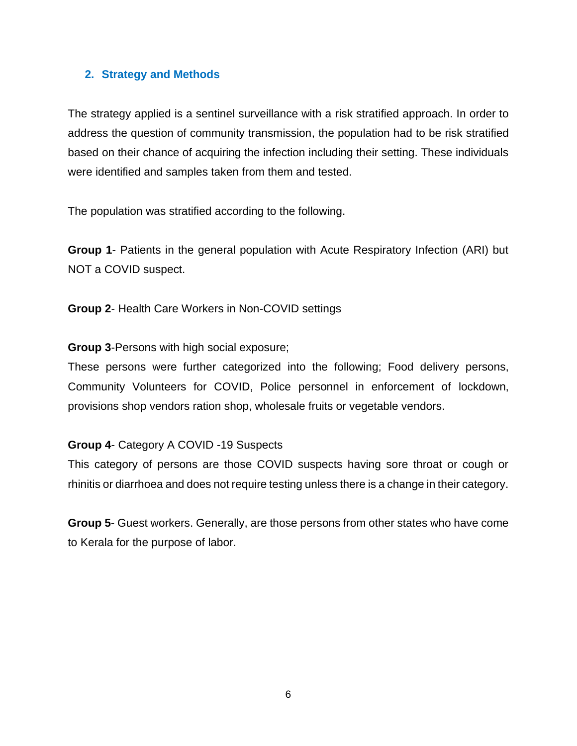#### **2. Strategy and Methods**

The strategy applied is a sentinel surveillance with a risk stratified approach. In order to address the question of community transmission, the population had to be risk stratified based on their chance of acquiring the infection including their setting. These individuals were identified and samples taken from them and tested.

The population was stratified according to the following.

**Group 1**- Patients in the general population with Acute Respiratory Infection (ARI) but NOT a COVID suspect.

**Group 2**- Health Care Workers in Non-COVID settings

**Group 3**-Persons with high social exposure;

These persons were further categorized into the following; Food delivery persons, Community Volunteers for COVID, Police personnel in enforcement of lockdown, provisions shop vendors ration shop, wholesale fruits or vegetable vendors.

### **Group 4**- Category A COVID -19 Suspects

This category of persons are those COVID suspects having sore throat or cough or rhinitis or diarrhoea and does not require testing unless there is a change in their category.

**Group 5**- Guest workers. Generally, are those persons from other states who have come to Kerala for the purpose of labor.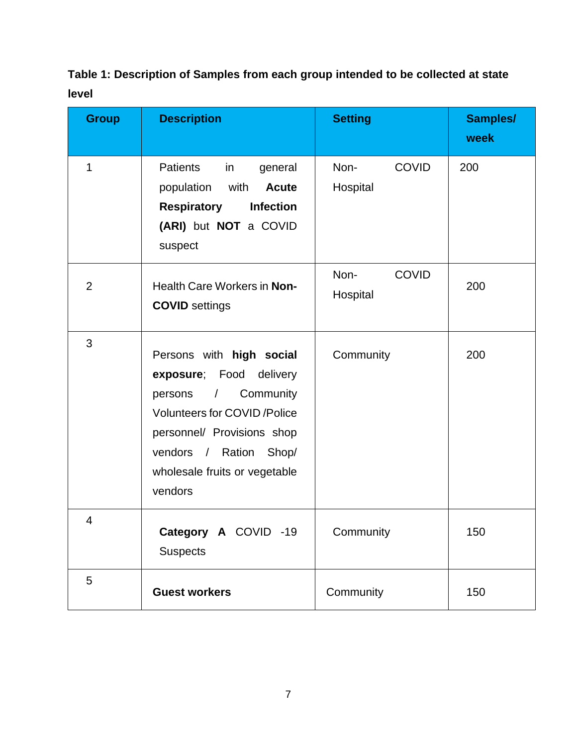# **Table 1: Description of Samples from each group intended to be collected at state level**

| <b>Group</b>   | <b>Description</b>                                                                                                                                                                                                                         | <b>Setting</b>                   | Samples/<br>week |
|----------------|--------------------------------------------------------------------------------------------------------------------------------------------------------------------------------------------------------------------------------------------|----------------------------------|------------------|
| 1              | <b>Patients</b><br>in<br>general<br>population<br>with<br><b>Acute</b><br><b>Respiratory</b><br>Infection<br>(ARI) but NOT a COVID<br>suspect                                                                                              | <b>COVID</b><br>Non-<br>Hospital | 200              |
| $\overline{2}$ | Health Care Workers in Non-<br><b>COVID</b> settings                                                                                                                                                                                       | Non-<br><b>COVID</b><br>Hospital | 200              |
| 3              | Persons with high social<br>exposure; Food<br>delivery<br>Community<br>persons<br>$\sqrt{2}$<br><b>Volunteers for COVID /Police</b><br>personnel/ Provisions shop<br>vendors / Ration<br>Shop/<br>wholesale fruits or vegetable<br>vendors | Community                        | 200              |
| 4              | Category A COVID -19<br><b>Suspects</b>                                                                                                                                                                                                    | Community                        | 150              |
| 5              | <b>Guest workers</b>                                                                                                                                                                                                                       | Community                        | 150              |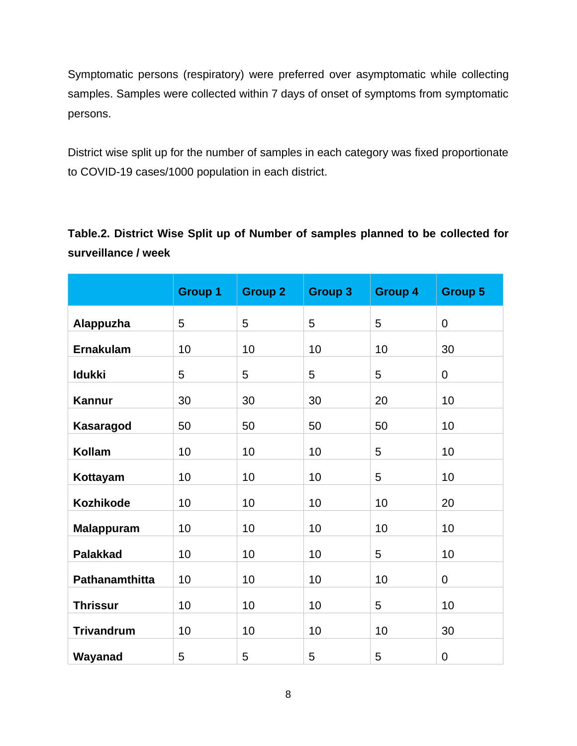Symptomatic persons (respiratory) were preferred over asymptomatic while collecting samples. Samples were collected within 7 days of onset of symptoms from symptomatic persons.

District wise split up for the number of samples in each category was fixed proportionate to COVID-19 cases/1000 population in each district.

**Table.2. District Wise Split up of Number of samples planned to be collected for surveillance / week**

|                   | <b>Group 1</b> | <b>Group 2</b> | <b>Group 3</b> | <b>Group 4</b> | <b>Group 5</b> |
|-------------------|----------------|----------------|----------------|----------------|----------------|
| Alappuzha         | 5              | 5              | 5              | 5              | $\mathbf 0$    |
| <b>Ernakulam</b>  | 10             | 10             | 10             | 10             | 30             |
| <b>Idukki</b>     | 5              | 5              | 5              | 5              | $\mathbf 0$    |
| <b>Kannur</b>     | 30             | 30             | 30             | 20             | 10             |
| <b>Kasaragod</b>  | 50             | 50             | 50             | 50             | 10             |
| <b>Kollam</b>     | 10             | 10             | 10             | 5              | 10             |
| Kottayam          | 10             | 10             | 10             | 5              | 10             |
| <b>Kozhikode</b>  | 10             | 10             | 10             | 10             | 20             |
| <b>Malappuram</b> | 10             | 10             | 10             | 10             | 10             |
| <b>Palakkad</b>   | 10             | 10             | 10             | 5              | 10             |
| Pathanamthitta    | 10             | 10             | 10             | 10             | $\overline{0}$ |
| <b>Thrissur</b>   | 10             | 10             | 10             | 5              | 10             |
| <b>Trivandrum</b> | 10             | 10             | 10             | 10             | 30             |
| Wayanad           | 5              | 5              | 5              | 5              | $\mathbf 0$    |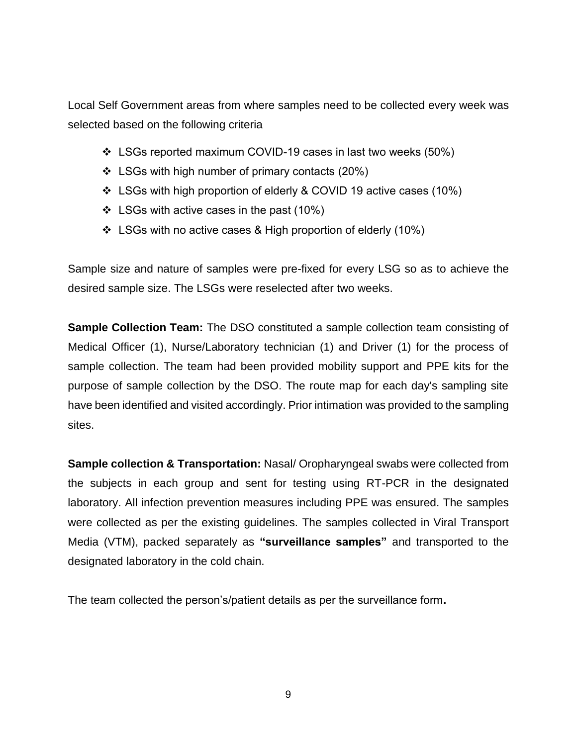Local Self Government areas from where samples need to be collected every week was selected based on the following criteria

- ❖ LSGs reported maximum COVID-19 cases in last two weeks (50%)
- $\div$  LSGs with high number of primary contacts (20%)
- ❖ LSGs with high proportion of elderly & COVID 19 active cases (10%)
- ❖ LSGs with active cases in the past (10%)
- ❖ LSGs with no active cases & High proportion of elderly (10%)

Sample size and nature of samples were pre-fixed for every LSG so as to achieve the desired sample size. The LSGs were reselected after two weeks.

**Sample Collection Team:** The DSO constituted a sample collection team consisting of Medical Officer (1), Nurse/Laboratory technician (1) and Driver (1) for the process of sample collection. The team had been provided mobility support and PPE kits for the purpose of sample collection by the DSO. The route map for each day's sampling site have been identified and visited accordingly. Prior intimation was provided to the sampling sites.

**Sample collection & Transportation:** Nasal/ Oropharyngeal swabs were collected from the subjects in each group and sent for testing using RT-PCR in the designated laboratory. All infection prevention measures including PPE was ensured. The samples were collected as per the existing guidelines. The samples collected in Viral Transport Media (VTM), packed separately as **"surveillance samples"** and transported to the designated laboratory in the cold chain.

The team collected the person's/patient details as per the surveillance form**.**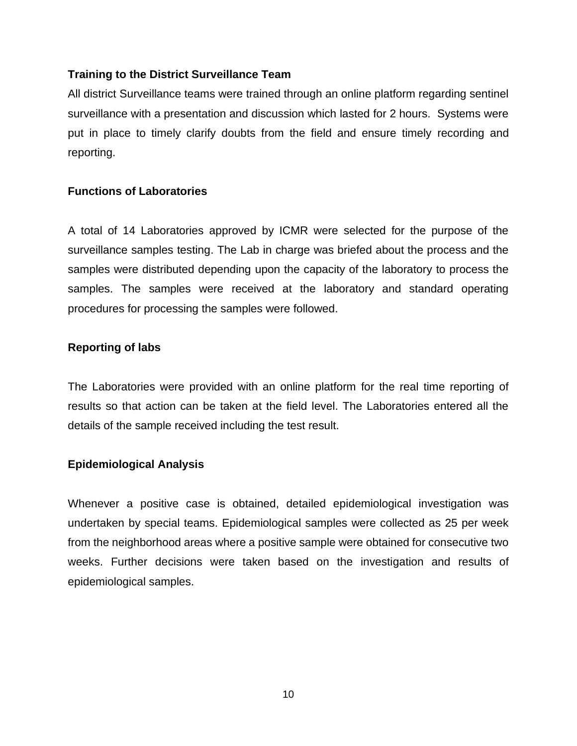### **Training to the District Surveillance Team**

All district Surveillance teams were trained through an online platform regarding sentinel surveillance with a presentation and discussion which lasted for 2 hours. Systems were put in place to timely clarify doubts from the field and ensure timely recording and reporting.

### **Functions of Laboratories**

A total of 14 Laboratories approved by ICMR were selected for the purpose of the surveillance samples testing. The Lab in charge was briefed about the process and the samples were distributed depending upon the capacity of the laboratory to process the samples. The samples were received at the laboratory and standard operating procedures for processing the samples were followed.

### **Reporting of labs**

The Laboratories were provided with an online platform for the real time reporting of results so that action can be taken at the field level. The Laboratories entered all the details of the sample received including the test result.

### **Epidemiological Analysis**

Whenever a positive case is obtained, detailed epidemiological investigation was undertaken by special teams. Epidemiological samples were collected as 25 per week from the neighborhood areas where a positive sample were obtained for consecutive two weeks. Further decisions were taken based on the investigation and results of epidemiological samples.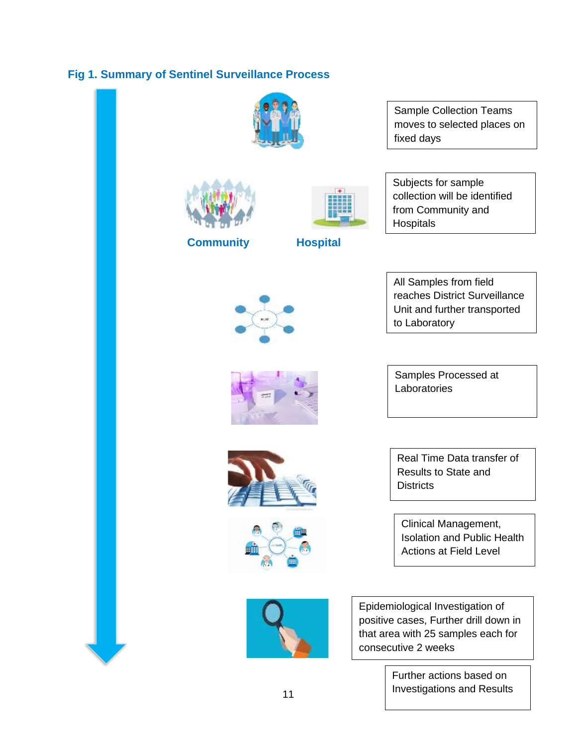## **Fig 1. Summary of Sentinel Surveillance Process**

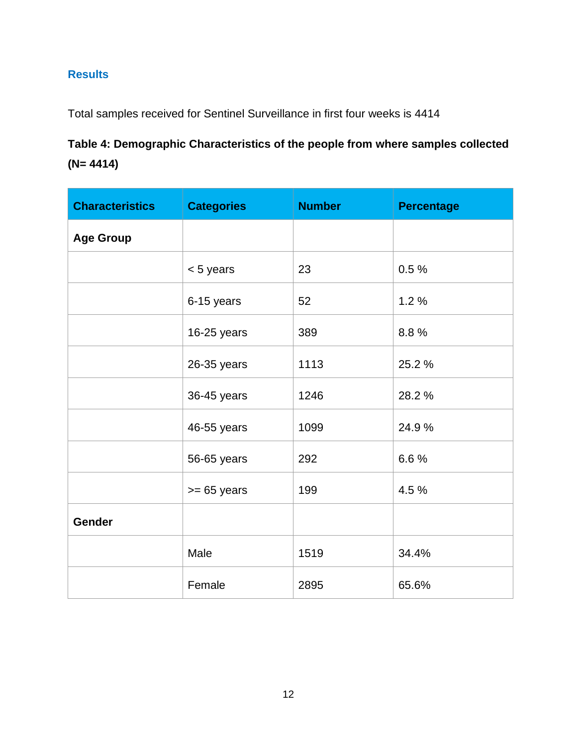## **Results**

Total samples received for Sentinel Surveillance in first four weeks is 4414

# **Table 4: Demographic Characteristics of the people from where samples collected (N= 4414)**

| <b>Characteristics</b> | <b>Categories</b> | <b>Number</b> | <b>Percentage</b> |
|------------------------|-------------------|---------------|-------------------|
| <b>Age Group</b>       |                   |               |                   |
|                        | $< 5$ years       | 23            | 0.5%              |
|                        | 6-15 years        | 52            | 1.2%              |
|                        | 16-25 years       | 389           | 8.8%              |
|                        | 26-35 years       | 1113          | 25.2 %            |
|                        | 36-45 years       | 1246          | 28.2 %            |
|                        | 46-55 years       | 1099          | 24.9%             |
|                        | 56-65 years       | 292           | 6.6%              |
|                        | $>= 65$ years     | 199           | 4.5 %             |
| Gender                 |                   |               |                   |
|                        | Male              | 1519          | 34.4%             |
|                        | Female            | 2895          | 65.6%             |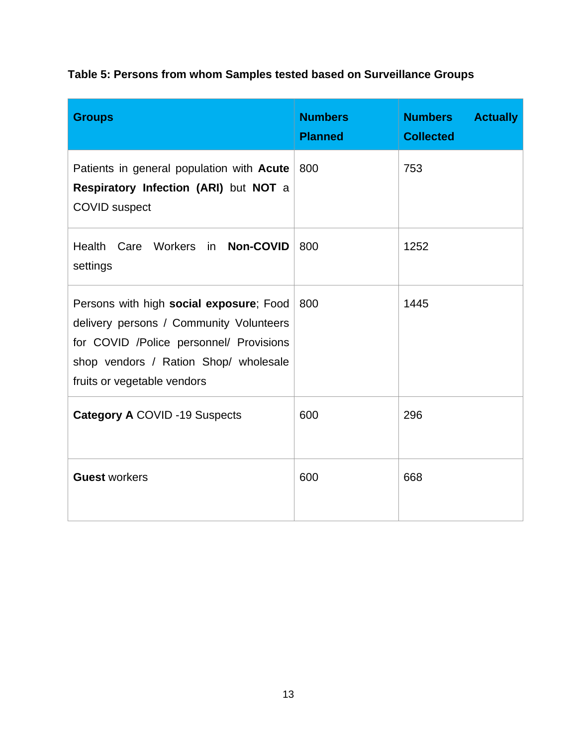# **Table 5: Persons from whom Samples tested based on Surveillance Groups**

| <b>Groups</b>                                                                                                                                                                                         | <b>Numbers</b><br><b>Planned</b> | <b>Numbers</b><br><b>Actually</b><br><b>Collected</b> |
|-------------------------------------------------------------------------------------------------------------------------------------------------------------------------------------------------------|----------------------------------|-------------------------------------------------------|
| Patients in general population with Acute<br>Respiratory Infection (ARI) but NOT a<br><b>COVID</b> suspect                                                                                            | 800                              | 753                                                   |
| Health Care Workers in Non-COVID<br>settings                                                                                                                                                          | 800                              | 1252                                                  |
| Persons with high social exposure; Food<br>delivery persons / Community Volunteers<br>for COVID /Police personnel/ Provisions<br>shop vendors / Ration Shop/ wholesale<br>fruits or vegetable vendors | 800                              | 1445                                                  |
| <b>Category A COVID -19 Suspects</b>                                                                                                                                                                  | 600                              | 296                                                   |
| <b>Guest workers</b>                                                                                                                                                                                  | 600                              | 668                                                   |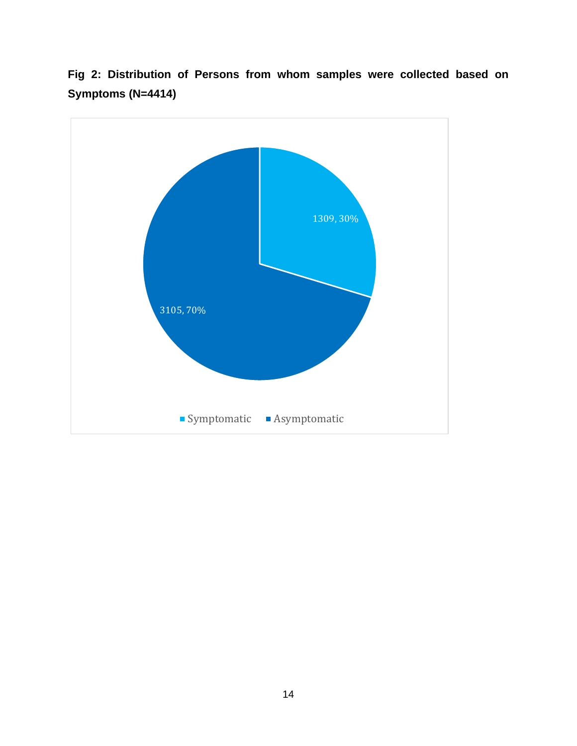

**Fig 2: Distribution of Persons from whom samples were collected based on Symptoms (N=4414)**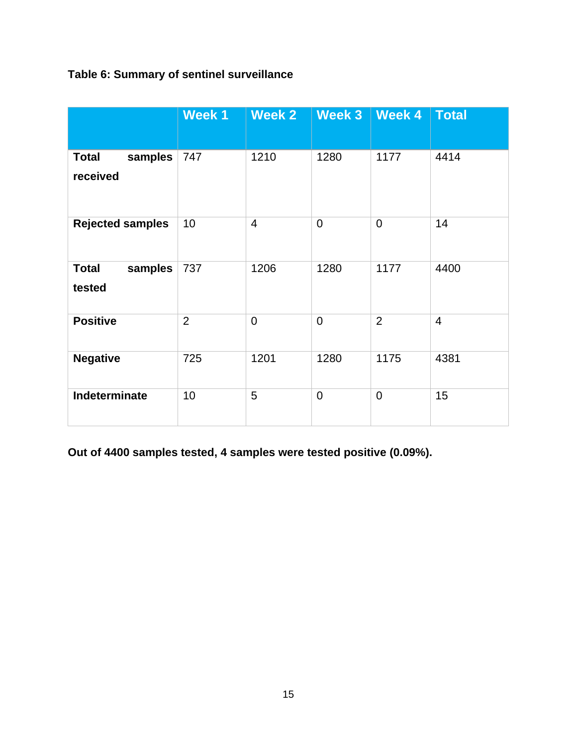## **Table 6: Summary of sentinel surveillance**

|                                     | Week 1         | Week 2         | Week 3         | <b>Week 4</b>  | <b>Total</b>   |
|-------------------------------------|----------------|----------------|----------------|----------------|----------------|
| samples<br><b>Total</b><br>received | 747            | 1210           | 1280           | 1177           | 4414           |
| <b>Rejected samples</b>             | 10             | $\overline{4}$ | $\overline{0}$ | $\overline{0}$ | 14             |
| <b>Total</b><br>samples<br>tested   | 737            | 1206           | 1280           | 1177           | 4400           |
| <b>Positive</b>                     | $\overline{2}$ | $\mathbf 0$    | $\overline{0}$ | $\overline{2}$ | $\overline{4}$ |
| <b>Negative</b>                     | 725            | 1201           | 1280           | 1175           | 4381           |
| Indeterminate                       | 10             | 5              | $\overline{0}$ | $\overline{0}$ | 15             |

**Out of 4400 samples tested, 4 samples were tested positive (0.09%).**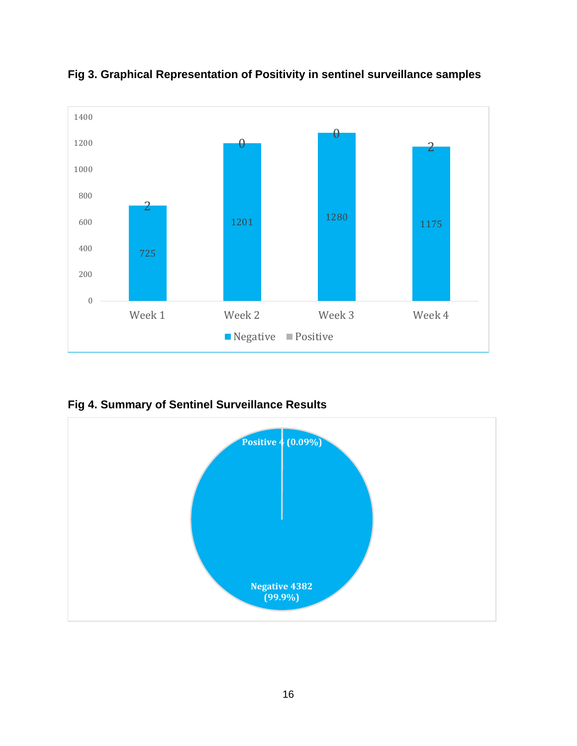

**Fig 3. Graphical Representation of Positivity in sentinel surveillance samples**

**Fig 4. Summary of Sentinel Surveillance Results**

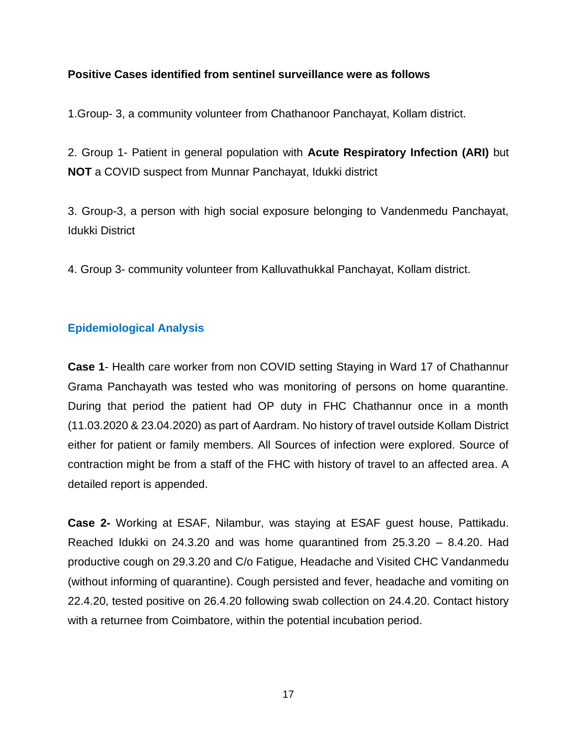### **Positive Cases identified from sentinel surveillance were as follows**

1.Group- 3, a community volunteer from Chathanoor Panchayat, Kollam district.

2. Group 1- Patient in general population with **Acute Respiratory Infection (ARI)** but **NOT** a COVID suspect from Munnar Panchayat, Idukki district

3. Group-3, a person with high social exposure belonging to Vandenmedu Panchayat, Idukki District

4. Group 3- community volunteer from Kalluvathukkal Panchayat, Kollam district.

### **Epidemiological Analysis**

**Case 1**- Health care worker from non COVID setting Staying in Ward 17 of Chathannur Grama Panchayath was tested who was monitoring of persons on home quarantine. During that period the patient had OP duty in FHC Chathannur once in a month (11.03.2020 & 23.04.2020) as part of Aardram. No history of travel outside Kollam District either for patient or family members. All Sources of infection were explored. Source of contraction might be from a staff of the FHC with history of travel to an affected area. A detailed report is appended.

**Case 2-** Working at ESAF, Nilambur, was staying at ESAF guest house, Pattikadu. Reached Idukki on 24.3.20 and was home quarantined from 25.3.20 – 8.4.20. Had productive cough on 29.3.20 and C/o Fatigue, Headache and Visited CHC Vandanmedu (without informing of quarantine). Cough persisted and fever, headache and vomiting on 22.4.20, tested positive on 26.4.20 following swab collection on 24.4.20. Contact history with a returnee from Coimbatore, within the potential incubation period.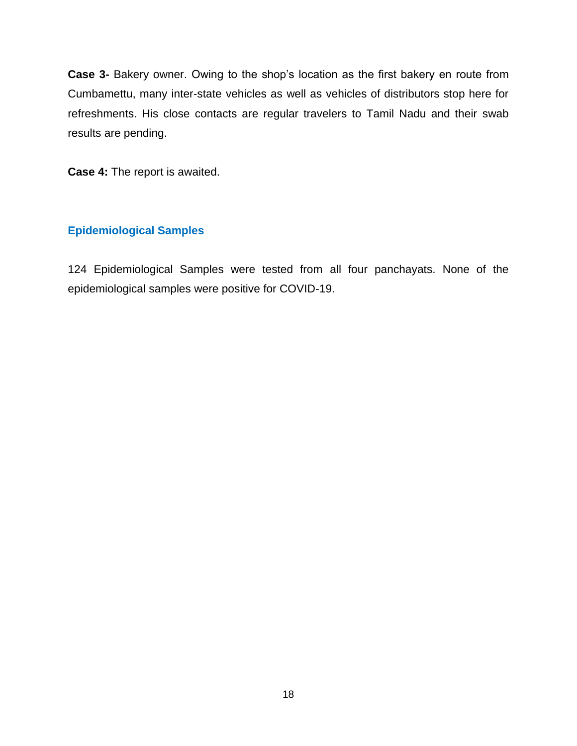**Case 3-** Bakery owner. Owing to the shop's location as the first bakery en route from Cumbamettu, many inter-state vehicles as well as vehicles of distributors stop here for refreshments. His close contacts are regular travelers to Tamil Nadu and their swab results are pending.

**Case 4:** The report is awaited.

### **Epidemiological Samples**

124 Epidemiological Samples were tested from all four panchayats. None of the epidemiological samples were positive for COVID-19.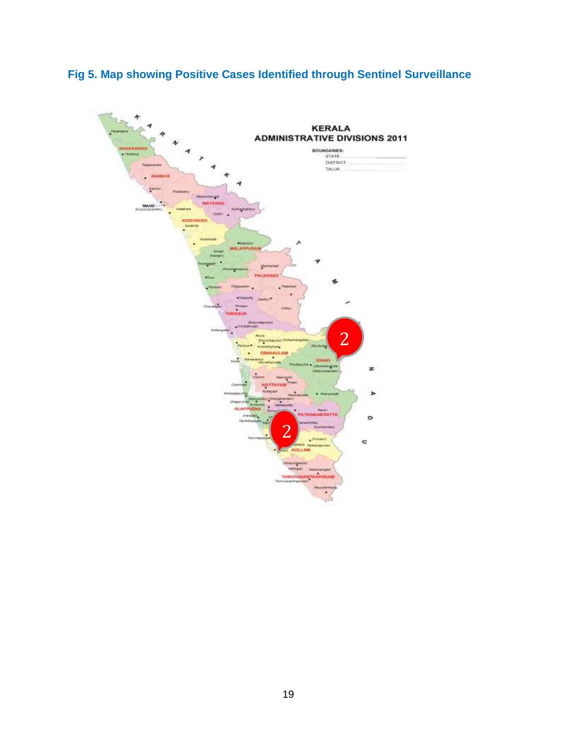

# **Fig 5. Map showing Positive Cases Identified through Sentinel Surveillance**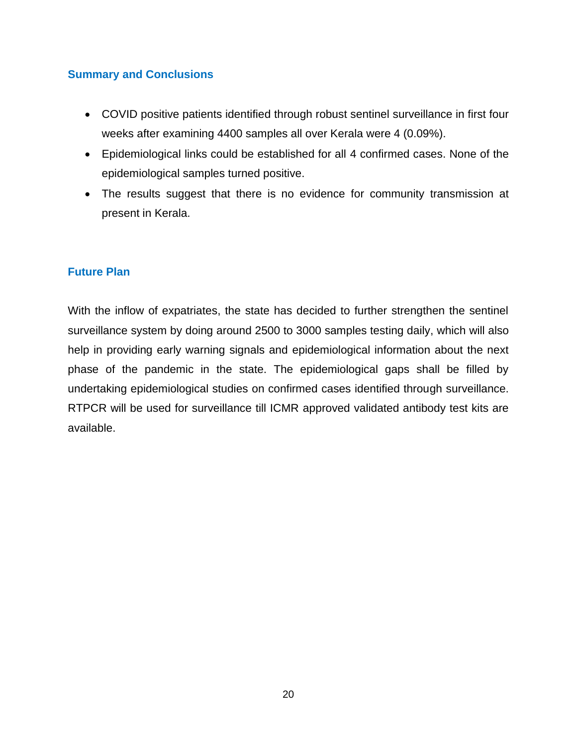### **Summary and Conclusions**

- COVID positive patients identified through robust sentinel surveillance in first four weeks after examining 4400 samples all over Kerala were 4 (0.09%).
- Epidemiological links could be established for all 4 confirmed cases. None of the epidemiological samples turned positive.
- The results suggest that there is no evidence for community transmission at present in Kerala.

### **Future Plan**

With the inflow of expatriates, the state has decided to further strengthen the sentinel surveillance system by doing around 2500 to 3000 samples testing daily, which will also help in providing early warning signals and epidemiological information about the next phase of the pandemic in the state. The epidemiological gaps shall be filled by undertaking epidemiological studies on confirmed cases identified through surveillance. RTPCR will be used for surveillance till ICMR approved validated antibody test kits are available.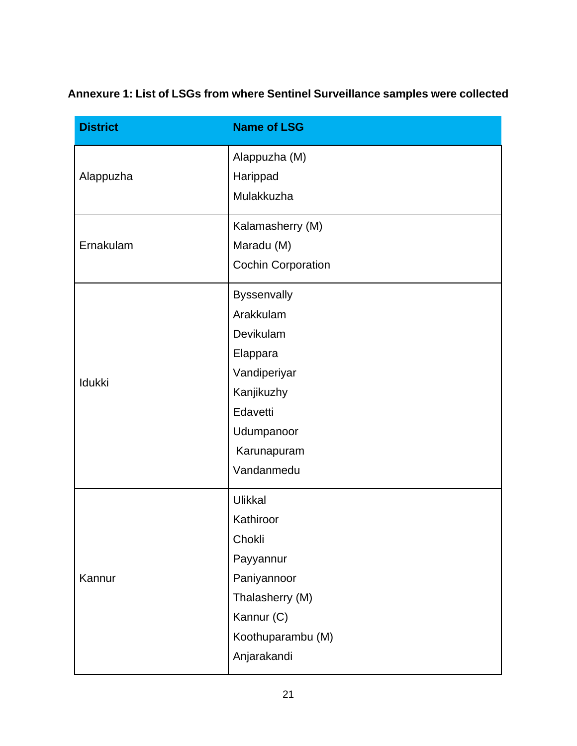**Annexure 1: List of LSGs from where Sentinel Surveillance samples were collected**

| <b>District</b> | <b>Name of LSG</b>        |
|-----------------|---------------------------|
|                 | Alappuzha (M)             |
| Alappuzha       | Harippad                  |
|                 | Mulakkuzha                |
|                 | Kalamasherry (M)          |
| Ernakulam       | Maradu (M)                |
|                 | <b>Cochin Corporation</b> |
|                 | Byssenvally               |
|                 | Arakkulam                 |
|                 | Devikulam                 |
|                 | Elappara                  |
| Idukki          | Vandiperiyar              |
|                 | Kanjikuzhy                |
|                 | Edavetti                  |
|                 | Udumpanoor                |
|                 | Karunapuram               |
|                 | Vandanmedu                |
|                 | Ulikkal                   |
|                 | Kathiroor                 |
|                 | Chokli                    |
| Kannur          | Payyannur                 |
|                 | Paniyannoor               |
|                 | Thalasherry (M)           |
|                 | Kannur (C)                |
|                 | Koothuparambu (M)         |
|                 | Anjarakandi               |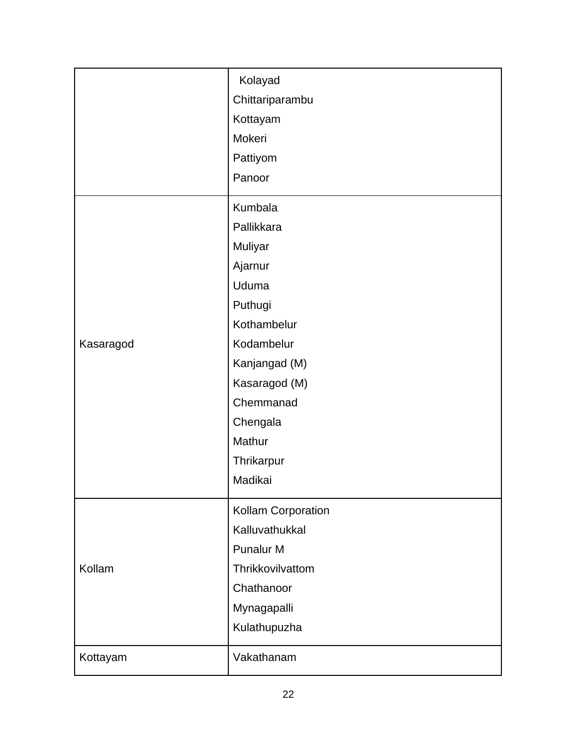|           | Kolayad            |
|-----------|--------------------|
|           | Chittariparambu    |
|           | Kottayam           |
|           | Mokeri             |
|           | Pattiyom           |
|           | Panoor             |
|           | Kumbala            |
|           | Pallikkara         |
|           | Muliyar            |
|           | Ajarnur            |
|           | Uduma              |
|           | Puthugi            |
|           | Kothambelur        |
| Kasaragod | Kodambelur         |
|           | Kanjangad (M)      |
|           | Kasaragod (M)      |
|           | Chemmanad          |
|           | Chengala           |
|           | Mathur             |
|           | Thrikarpur         |
|           | Madikai            |
|           | Kollam Corporation |
|           | Kalluvathukkal     |
|           | Punalur M          |
| Kollam    | Thrikkovilvattom   |
|           | Chathanoor         |
|           | Mynagapalli        |
|           | Kulathupuzha       |
| Kottayam  | Vakathanam         |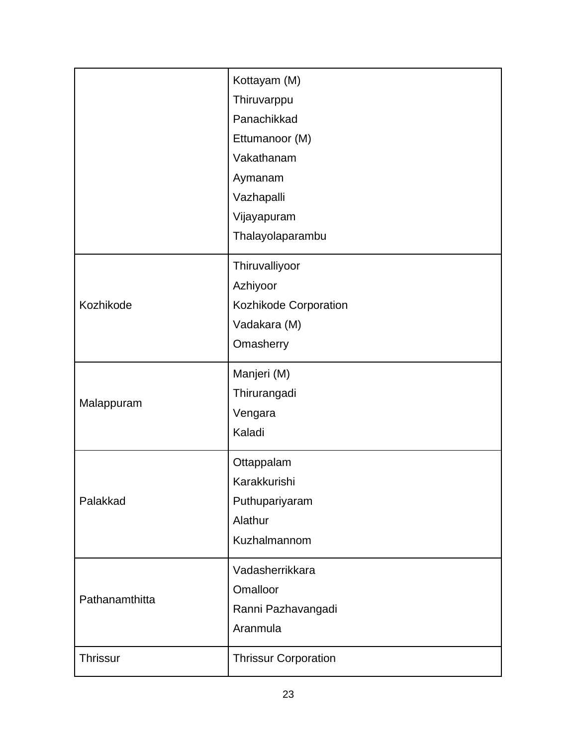|                 | Kottayam (M)                |
|-----------------|-----------------------------|
|                 | Thiruvarppu                 |
|                 | Panachikkad                 |
|                 | Ettumanoor (M)              |
|                 | Vakathanam                  |
|                 | Aymanam                     |
|                 | Vazhapalli                  |
|                 | Vijayapuram                 |
|                 | Thalayolaparambu            |
|                 | Thiruvalliyoor              |
|                 | Azhiyoor                    |
| Kozhikode       | Kozhikode Corporation       |
|                 | Vadakara (M)                |
|                 | Omasherry                   |
|                 | Manjeri (M)                 |
|                 | Thirurangadi                |
| Malappuram      | Vengara                     |
|                 | Kaladi                      |
|                 | Ottappalam                  |
|                 | Karakkurishi                |
| Palakkad        | Puthupariyaram              |
|                 | Alathur                     |
|                 | Kuzhalmannom                |
|                 | Vadasherrikkara             |
|                 | Omalloor                    |
| Pathanamthitta  | Ranni Pazhavangadi          |
|                 | Aranmula                    |
| <b>Thrissur</b> | <b>Thrissur Corporation</b> |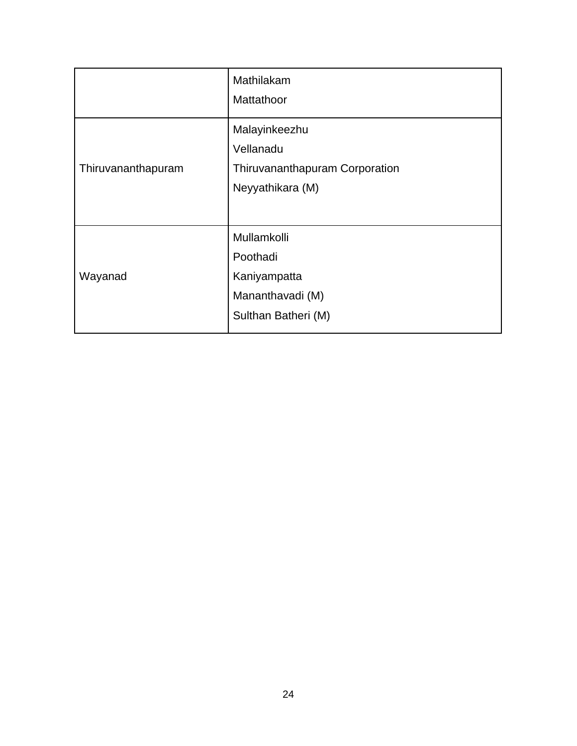| Mathilakam                                                                       |
|----------------------------------------------------------------------------------|
| Mattathoor                                                                       |
| Malayinkeezhu<br>Vellanadu<br>Thiruvananthapuram Corporation<br>Neyyathikara (M) |
|                                                                                  |
| Mullamkolli<br>Poothadi                                                          |
| Kaniyampatta                                                                     |
| Mananthavadi (M)                                                                 |
| Sulthan Batheri (M)                                                              |
|                                                                                  |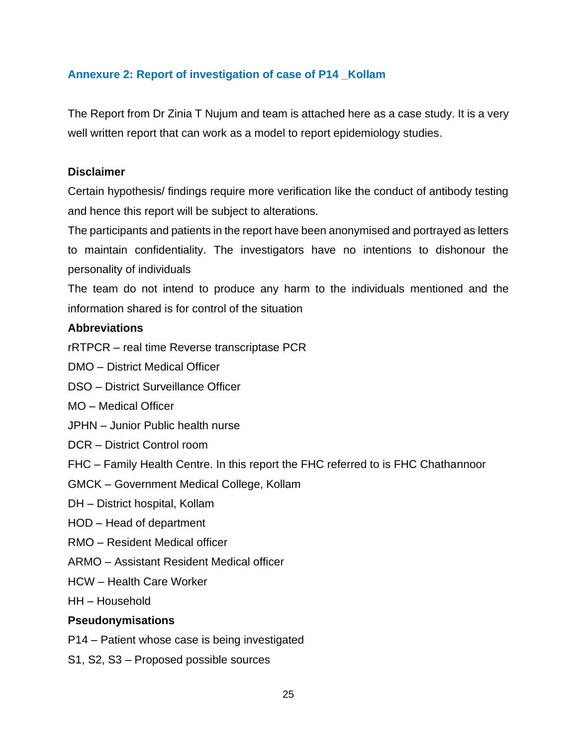### **Annexure 2: Report of investigation of case of P14 \_Kollam**

The Report from Dr Zinia T Nujum and team is attached here as a case study. It is a very well written report that can work as a model to report epidemiology studies.

#### **Disclaimer**

Certain hypothesis/ findings require more verification like the conduct of antibody testing and hence this report will be subject to alterations.

The participants and patients in the report have been anonymised and portrayed as letters to maintain confidentiality. The investigators have no intentions to dishonour the personality of individuals

The team do not intend to produce any harm to the individuals mentioned and the information shared is for control of the situation

#### **Abbreviations**

rRTPCR – real time Reverse transcriptase PCR

DMO – District Medical Officer

DSO – District Surveillance Officer

MO – Medical Officer

- JPHN Junior Public health nurse
- DCR District Control room
- FHC Family Health Centre. In this report the FHC referred to is FHC Chathannoor

GMCK – Government Medical College, Kollam

DH – District hospital, Kollam

- HOD Head of department
- RMO Resident Medical officer
- ARMO Assistant Resident Medical officer
- HCW Health Care Worker

HH – Household

#### **Pseudonymisations**

P14 – Patient whose case is being investigated

S1, S2, S3 – Proposed possible sources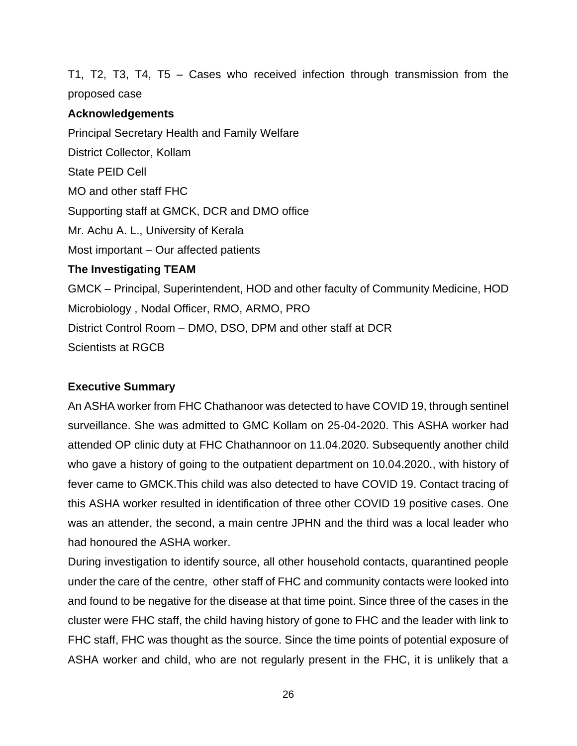T1, T2, T3, T4, T5 – Cases who received infection through transmission from the proposed case

### **Acknowledgements**

Principal Secretary Health and Family Welfare District Collector, Kollam State PEID Cell MO and other staff FHC Supporting staff at GMCK, DCR and DMO office Mr. Achu A. L., University of Kerala Most important – Our affected patients **The Investigating TEAM** GMCK – Principal, Superintendent, HOD and other faculty of Community Medicine, HOD Microbiology , Nodal Officer, RMO, ARMO, PRO District Control Room – DMO, DSO, DPM and other staff at DCR Scientists at RGCB

### **Executive Summary**

An ASHA worker from FHC Chathanoor was detected to have COVID 19, through sentinel surveillance. She was admitted to GMC Kollam on 25-04-2020. This ASHA worker had attended OP clinic duty at FHC Chathannoor on 11.04.2020. Subsequently another child who gave a history of going to the outpatient department on 10.04.2020., with history of fever came to GMCK.This child was also detected to have COVID 19. Contact tracing of this ASHA worker resulted in identification of three other COVID 19 positive cases. One was an attender, the second, a main centre JPHN and the third was a local leader who had honoured the ASHA worker.

During investigation to identify source, all other household contacts, quarantined people under the care of the centre, other staff of FHC and community contacts were looked into and found to be negative for the disease at that time point. Since three of the cases in the cluster were FHC staff, the child having history of gone to FHC and the leader with link to FHC staff, FHC was thought as the source. Since the time points of potential exposure of ASHA worker and child, who are not regularly present in the FHC, it is unlikely that a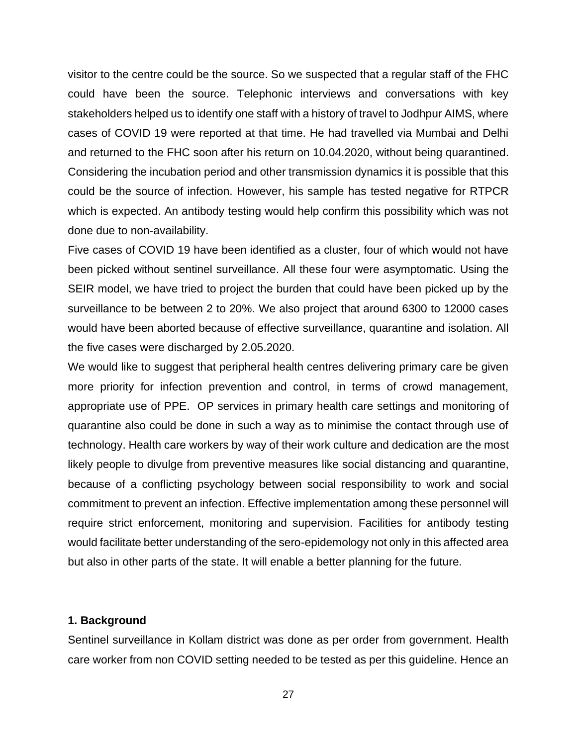visitor to the centre could be the source. So we suspected that a regular staff of the FHC could have been the source. Telephonic interviews and conversations with key stakeholders helped us to identify one staff with a history of travel to Jodhpur AIMS, where cases of COVID 19 were reported at that time. He had travelled via Mumbai and Delhi and returned to the FHC soon after his return on 10.04.2020, without being quarantined. Considering the incubation period and other transmission dynamics it is possible that this could be the source of infection. However, his sample has tested negative for RTPCR which is expected. An antibody testing would help confirm this possibility which was not done due to non-availability.

Five cases of COVID 19 have been identified as a cluster, four of which would not have been picked without sentinel surveillance. All these four were asymptomatic. Using the SEIR model, we have tried to project the burden that could have been picked up by the surveillance to be between 2 to 20%. We also project that around 6300 to 12000 cases would have been aborted because of effective surveillance, quarantine and isolation. All the five cases were discharged by 2.05.2020.

We would like to suggest that peripheral health centres delivering primary care be given more priority for infection prevention and control, in terms of crowd management, appropriate use of PPE. OP services in primary health care settings and monitoring of quarantine also could be done in such a way as to minimise the contact through use of technology. Health care workers by way of their work culture and dedication are the most likely people to divulge from preventive measures like social distancing and quarantine, because of a conflicting psychology between social responsibility to work and social commitment to prevent an infection. Effective implementation among these personnel will require strict enforcement, monitoring and supervision. Facilities for antibody testing would facilitate better understanding of the sero-epidemology not only in this affected area but also in other parts of the state. It will enable a better planning for the future.

#### **1. Background**

Sentinel surveillance in Kollam district was done as per order from government. Health care worker from non COVID setting needed to be tested as per this guideline. Hence an

27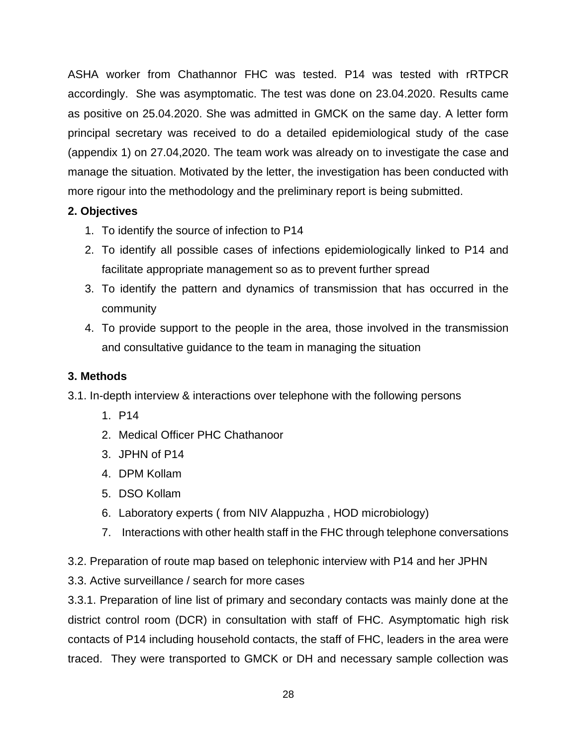ASHA worker from Chathannor FHC was tested. P14 was tested with rRTPCR accordingly. She was asymptomatic. The test was done on 23.04.2020. Results came as positive on 25.04.2020. She was admitted in GMCK on the same day. A letter form principal secretary was received to do a detailed epidemiological study of the case (appendix 1) on 27.04,2020. The team work was already on to investigate the case and manage the situation. Motivated by the letter, the investigation has been conducted with more rigour into the methodology and the preliminary report is being submitted.

### **2. Objectives**

- 1. To identify the source of infection to P14
- 2. To identify all possible cases of infections epidemiologically linked to P14 and facilitate appropriate management so as to prevent further spread
- 3. To identify the pattern and dynamics of transmission that has occurred in the community
- 4. To provide support to the people in the area, those involved in the transmission and consultative guidance to the team in managing the situation

### **3. Methods**

3.1. In-depth interview & interactions over telephone with the following persons

- 1. P14
- 2. Medical Officer PHC Chathanoor
- 3. JPHN of P14
- 4. DPM Kollam
- 5. DSO Kollam
- 6. Laboratory experts ( from NIV Alappuzha , HOD microbiology)
- 7. Interactions with other health staff in the FHC through telephone conversations

3.2. Preparation of route map based on telephonic interview with P14 and her JPHN

3.3. Active surveillance / search for more cases

3.3.1. Preparation of line list of primary and secondary contacts was mainly done at the district control room (DCR) in consultation with staff of FHC. Asymptomatic high risk contacts of P14 including household contacts, the staff of FHC, leaders in the area were traced. They were transported to GMCK or DH and necessary sample collection was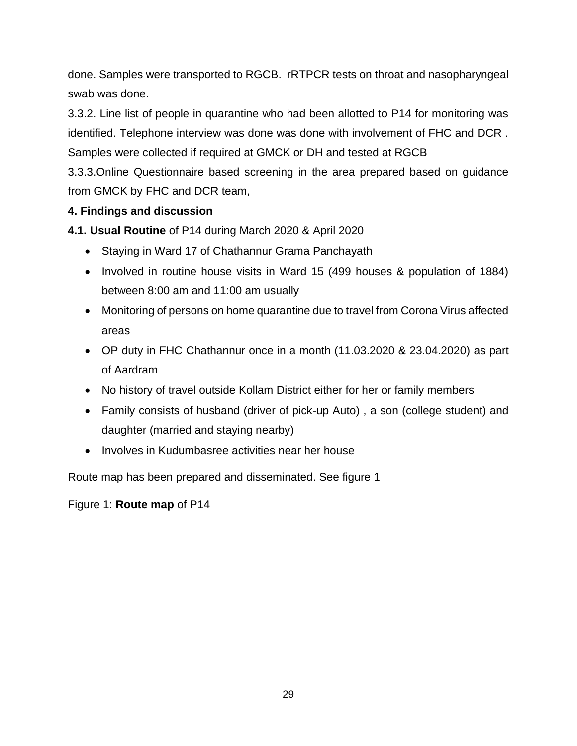done. Samples were transported to RGCB. rRTPCR tests on throat and nasopharyngeal swab was done.

3.3.2. Line list of people in quarantine who had been allotted to P14 for monitoring was identified. Telephone interview was done was done with involvement of FHC and DCR . Samples were collected if required at GMCK or DH and tested at RGCB

3.3.3.Online Questionnaire based screening in the area prepared based on guidance from GMCK by FHC and DCR team,

## **4. Findings and discussion**

**4.1. Usual Routine** of P14 during March 2020 & April 2020

- Staying in Ward 17 of Chathannur Grama Panchayath
- Involved in routine house visits in Ward 15 (499 houses & population of 1884) between 8:00 am and 11:00 am usually
- Monitoring of persons on home quarantine due to travel from Corona Virus affected areas
- OP duty in FHC Chathannur once in a month (11.03.2020 & 23.04.2020) as part of Aardram
- No history of travel outside Kollam District either for her or family members
- Family consists of husband (driver of pick-up Auto) , a son (college student) and daughter (married and staying nearby)
- Involves in Kudumbasree activities near her house

Route map has been prepared and disseminated. See figure 1

Figure 1: **Route map** of P14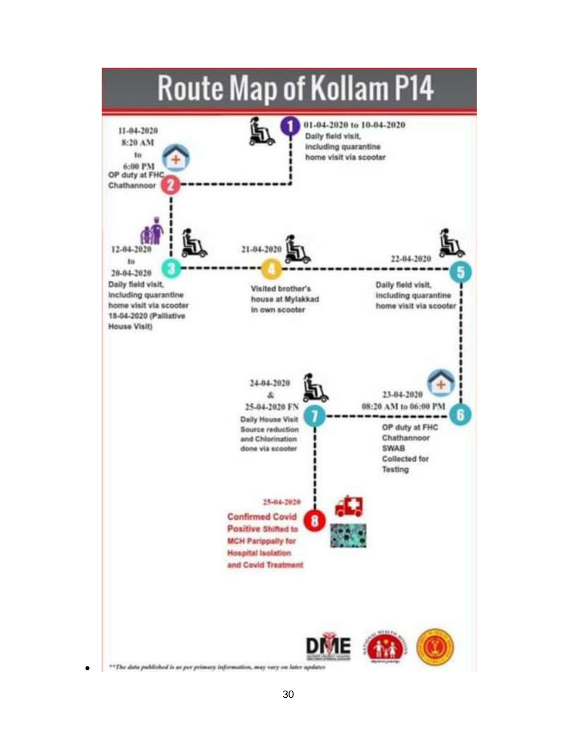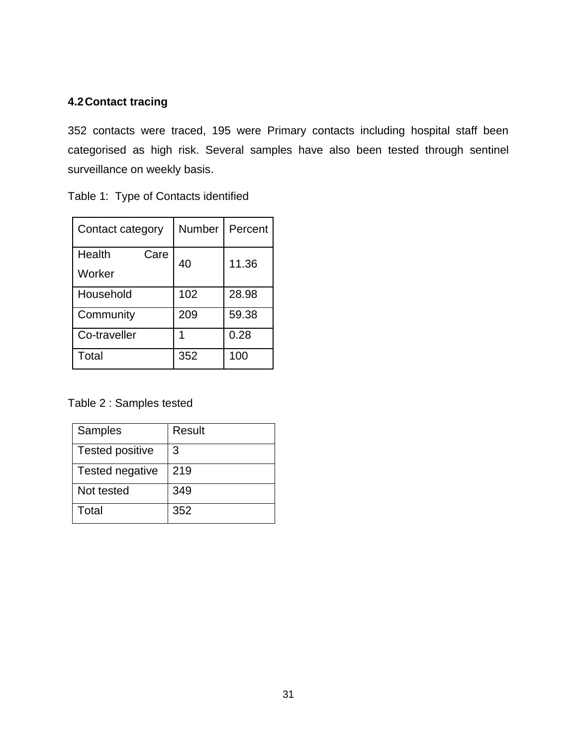## **4.2Contact tracing**

352 contacts were traced, 195 were Primary contacts including hospital staff been categorised as high risk. Several samples have also been tested through sentinel surveillance on weekly basis.

|  |  |  | Table 1: Type of Contacts identified |
|--|--|--|--------------------------------------|
|--|--|--|--------------------------------------|

| Contact category         | Number | Percent |
|--------------------------|--------|---------|
| Health<br>Care<br>Worker | 40     | 11.36   |
| Household                | 102    | 28.98   |
| Community                | 209    | 59.38   |
| Co-traveller             |        | 0.28    |
| Total                    | 352    | 100     |

Table 2 : Samples tested

| <b>Samples</b>         | Result |
|------------------------|--------|
| <b>Tested positive</b> | 3      |
| Tested negative        | 219    |
| Not tested             | 349    |
| Total                  | 352    |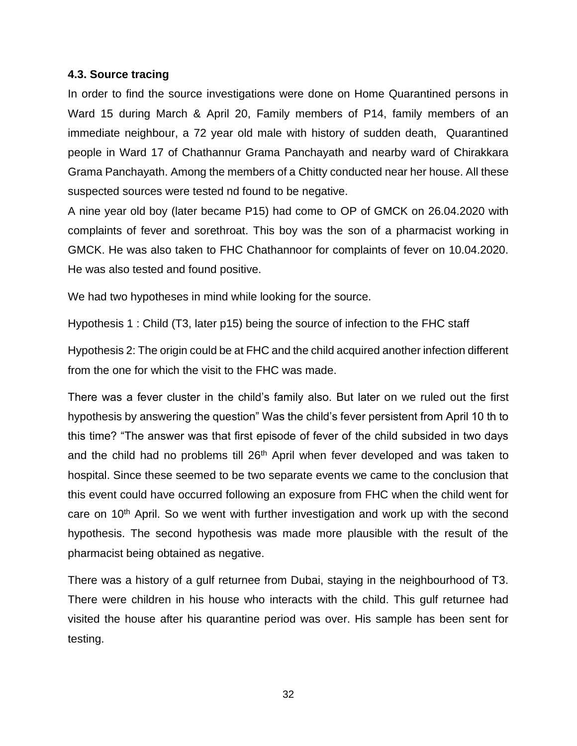#### **4.3. Source tracing**

In order to find the source investigations were done on Home Quarantined persons in Ward 15 during March & April 20, Family members of P14, family members of an immediate neighbour, a 72 year old male with history of sudden death, Quarantined people in Ward 17 of Chathannur Grama Panchayath and nearby ward of Chirakkara Grama Panchayath. Among the members of a Chitty conducted near her house. All these suspected sources were tested nd found to be negative.

A nine year old boy (later became P15) had come to OP of GMCK on 26.04.2020 with complaints of fever and sorethroat. This boy was the son of a pharmacist working in GMCK. He was also taken to FHC Chathannoor for complaints of fever on 10.04.2020. He was also tested and found positive.

We had two hypotheses in mind while looking for the source.

Hypothesis 1 : Child (T3, later p15) being the source of infection to the FHC staff

Hypothesis 2: The origin could be at FHC and the child acquired another infection different from the one for which the visit to the FHC was made.

There was a fever cluster in the child's family also. But later on we ruled out the first hypothesis by answering the question" Was the child's fever persistent from April 10 th to this time? "The answer was that first episode of fever of the child subsided in two days and the child had no problems till 26<sup>th</sup> April when fever developed and was taken to hospital. Since these seemed to be two separate events we came to the conclusion that this event could have occurred following an exposure from FHC when the child went for care on 10<sup>th</sup> April. So we went with further investigation and work up with the second hypothesis. The second hypothesis was made more plausible with the result of the pharmacist being obtained as negative.

There was a history of a gulf returnee from Dubai, staying in the neighbourhood of T3. There were children in his house who interacts with the child. This gulf returnee had visited the house after his quarantine period was over. His sample has been sent for testing.

32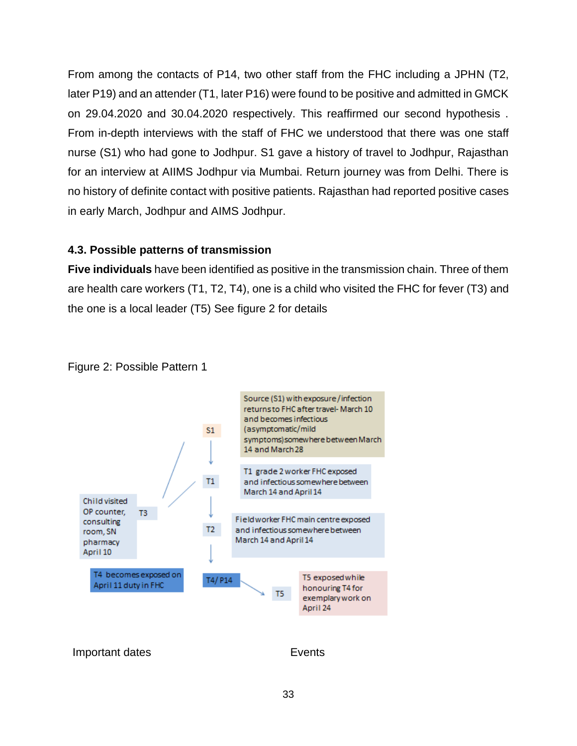From among the contacts of P14, two other staff from the FHC including a JPHN (T2, later P19) and an attender (T1, later P16) were found to be positive and admitted in GMCK on 29.04.2020 and 30.04.2020 respectively. This reaffirmed our second hypothesis . From in-depth interviews with the staff of FHC we understood that there was one staff nurse (S1) who had gone to Jodhpur. S1 gave a history of travel to Jodhpur, Rajasthan for an interview at AIIMS Jodhpur via Mumbai. Return journey was from Delhi. There is no history of definite contact with positive patients. Rajasthan had reported positive cases in early March, Jodhpur and AIMS Jodhpur.

### **4.3. Possible patterns of transmission**

**Five individuals** have been identified as positive in the transmission chain. Three of them are health care workers (T1, T2, T4), one is a child who visited the FHC for fever (T3) and the one is a local leader (T5) See figure 2 for details



### Figure 2: Possible Pattern 1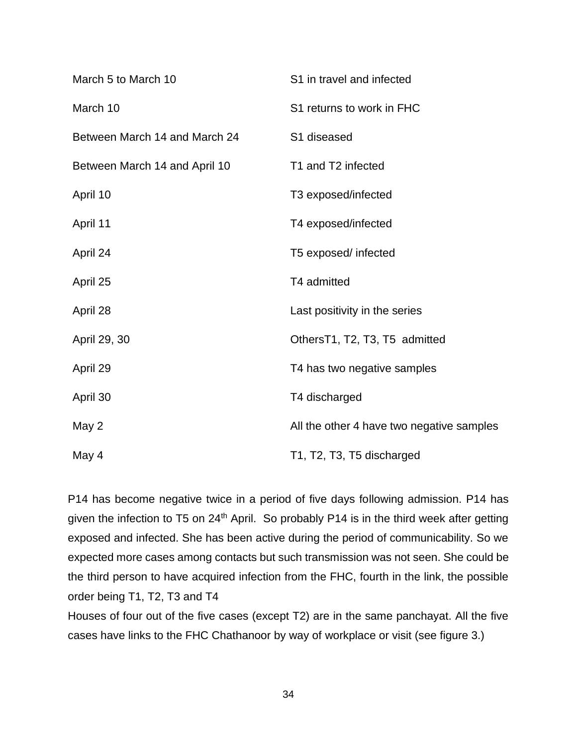| March 5 to March 10           | S1 in travel and infected                 |
|-------------------------------|-------------------------------------------|
| March 10                      | S1 returns to work in FHC                 |
| Between March 14 and March 24 | S1 diseased                               |
| Between March 14 and April 10 | T1 and T2 infected                        |
| April 10                      | T3 exposed/infected                       |
| April 11                      | T4 exposed/infected                       |
| April 24                      | T5 exposed/ infected                      |
| April 25                      | T4 admitted                               |
| April 28                      | Last positivity in the series             |
| April 29, 30                  | OthersT1, T2, T3, T5 admitted             |
| April 29                      | T4 has two negative samples               |
| April 30                      | T4 discharged                             |
| May 2                         | All the other 4 have two negative samples |
| May 4                         | T1, T2, T3, T5 discharged                 |

P14 has become negative twice in a period of five days following admission. P14 has given the infection to T5 on 24<sup>th</sup> April. So probably P14 is in the third week after getting exposed and infected. She has been active during the period of communicability. So we expected more cases among contacts but such transmission was not seen. She could be the third person to have acquired infection from the FHC, fourth in the link, the possible order being T1, T2, T3 and T4

Houses of four out of the five cases (except T2) are in the same panchayat. All the five cases have links to the FHC Chathanoor by way of workplace or visit (see figure 3.)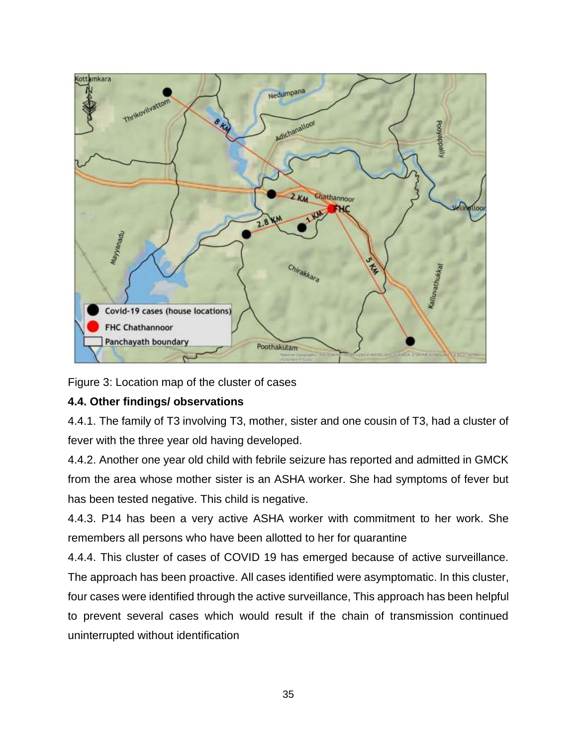

Figure 3: Location map of the cluster of cases

## **4.4. Other findings/ observations**

4.4.1. The family of T3 involving T3, mother, sister and one cousin of T3, had a cluster of fever with the three year old having developed.

4.4.2. Another one year old child with febrile seizure has reported and admitted in GMCK from the area whose mother sister is an ASHA worker. She had symptoms of fever but has been tested negative. This child is negative.

4.4.3. P14 has been a very active ASHA worker with commitment to her work. She remembers all persons who have been allotted to her for quarantine

4.4.4. This cluster of cases of COVID 19 has emerged because of active surveillance. The approach has been proactive. All cases identified were asymptomatic. In this cluster, four cases were identified through the active surveillance, This approach has been helpful to prevent several cases which would result if the chain of transmission continued uninterrupted without identification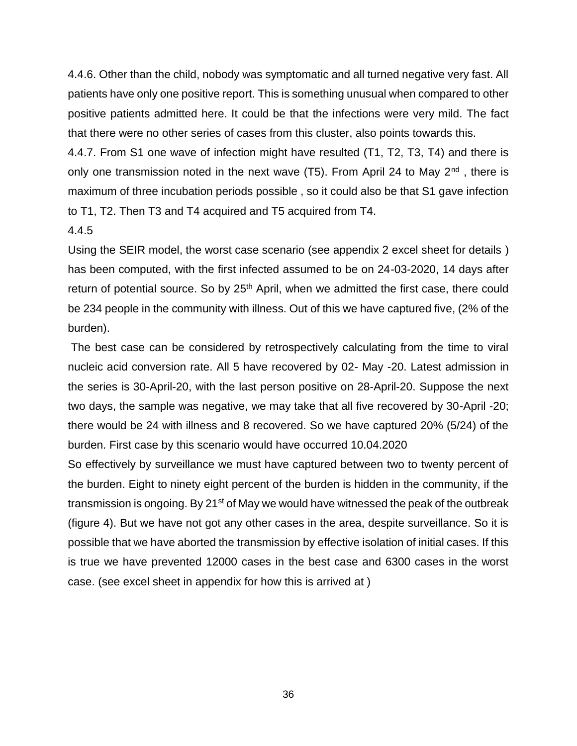4.4.6. Other than the child, nobody was symptomatic and all turned negative very fast. All patients have only one positive report. This is something unusual when compared to other positive patients admitted here. It could be that the infections were very mild. The fact that there were no other series of cases from this cluster, also points towards this.

4.4.7. From S1 one wave of infection might have resulted (T1, T2, T3, T4) and there is only one transmission noted in the next wave  $(T5)$ . From April 24 to May  $2^{nd}$ , there is maximum of three incubation periods possible , so it could also be that S1 gave infection to T1, T2. Then T3 and T4 acquired and T5 acquired from T4.

#### 4.4.5

Using the SEIR model, the worst case scenario (see appendix 2 excel sheet for details ) has been computed, with the first infected assumed to be on 24-03-2020, 14 days after return of potential source. So by 25<sup>th</sup> April, when we admitted the first case, there could be 234 people in the community with illness. Out of this we have captured five, (2% of the burden).

The best case can be considered by retrospectively calculating from the time to viral nucleic acid conversion rate. All 5 have recovered by 02- May -20. Latest admission in the series is 30-April-20, with the last person positive on 28-April-20. Suppose the next two days, the sample was negative, we may take that all five recovered by 30-April -20; there would be 24 with illness and 8 recovered. So we have captured 20% (5/24) of the burden. First case by this scenario would have occurred 10.04.2020

So effectively by surveillance we must have captured between two to twenty percent of the burden. Eight to ninety eight percent of the burden is hidden in the community, if the transmission is ongoing. By  $21^{st}$  of May we would have witnessed the peak of the outbreak (figure 4). But we have not got any other cases in the area, despite surveillance. So it is possible that we have aborted the transmission by effective isolation of initial cases. If this is true we have prevented 12000 cases in the best case and 6300 cases in the worst case. (see excel sheet in appendix for how this is arrived at )

36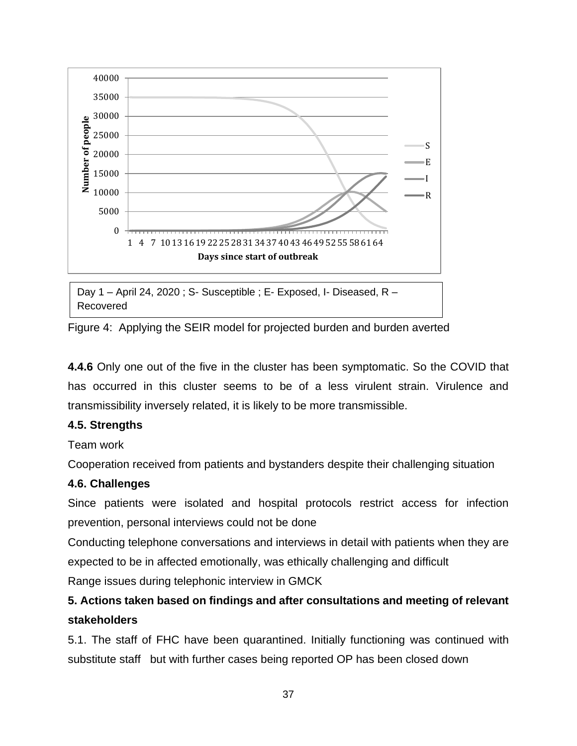

Day 1 – April 24, 2020 ; S- Susceptible ; E- Exposed, I- Diseased, R – Recovered

Figure 4: Applying the SEIR model for projected burden and burden averted I

**4.4.6** Only one out of the five in the cluster has been symptomatic. So the COVID that has occurred in this cluster seems to be of a less virulent strain. Virulence and transmissibility inversely related, it is likely to be more transmissible.

## **4.5. Strengths**

Team work

Cooperation received from patients and bystanders despite their challenging situation

## **4.6. Challenges**

Since patients were isolated and hospital protocols restrict access for infection prevention, personal interviews could not be done

Conducting telephone conversations and interviews in detail with patients when they are expected to be in affected emotionally, was ethically challenging and difficult Range issues during telephonic interview in GMCK

# **5. Actions taken based on findings and after consultations and meeting of relevant stakeholders**

5.1. The staff of FHC have been quarantined. Initially functioning was continued with substitute staff but with further cases being reported OP has been closed down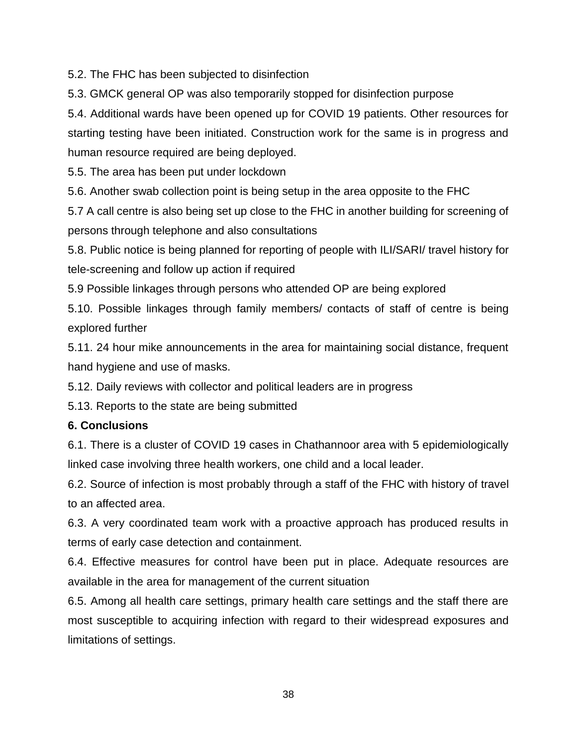5.2. The FHC has been subjected to disinfection

5.3. GMCK general OP was also temporarily stopped for disinfection purpose

5.4. Additional wards have been opened up for COVID 19 patients. Other resources for starting testing have been initiated. Construction work for the same is in progress and human resource required are being deployed.

5.5. The area has been put under lockdown

5.6. Another swab collection point is being setup in the area opposite to the FHC

5.7 A call centre is also being set up close to the FHC in another building for screening of persons through telephone and also consultations

5.8. Public notice is being planned for reporting of people with ILI/SARI/ travel history for tele-screening and follow up action if required

5.9 Possible linkages through persons who attended OP are being explored

5.10. Possible linkages through family members/ contacts of staff of centre is being explored further

5.11. 24 hour mike announcements in the area for maintaining social distance, frequent hand hygiene and use of masks.

5.12. Daily reviews with collector and political leaders are in progress

5.13. Reports to the state are being submitted

## **6. Conclusions**

6.1. There is a cluster of COVID 19 cases in Chathannoor area with 5 epidemiologically linked case involving three health workers, one child and a local leader.

6.2. Source of infection is most probably through a staff of the FHC with history of travel to an affected area.

6.3. A very coordinated team work with a proactive approach has produced results in terms of early case detection and containment.

6.4. Effective measures for control have been put in place. Adequate resources are available in the area for management of the current situation

6.5. Among all health care settings, primary health care settings and the staff there are most susceptible to acquiring infection with regard to their widespread exposures and limitations of settings.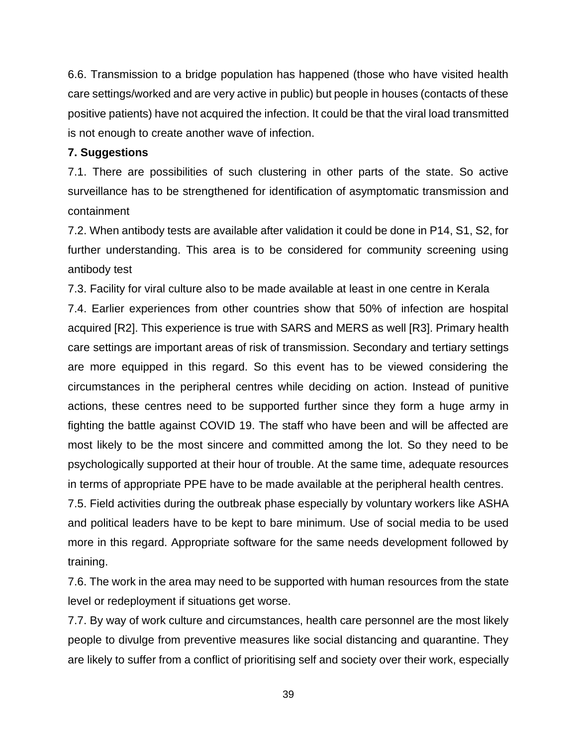6.6. Transmission to a bridge population has happened (those who have visited health care settings/worked and are very active in public) but people in houses (contacts of these positive patients) have not acquired the infection. It could be that the viral load transmitted is not enough to create another wave of infection.

#### **7. Suggestions**

7.1. There are possibilities of such clustering in other parts of the state. So active surveillance has to be strengthened for identification of asymptomatic transmission and containment

7.2. When antibody tests are available after validation it could be done in P14, S1, S2, for further understanding. This area is to be considered for community screening using antibody test

7.3. Facility for viral culture also to be made available at least in one centre in Kerala

7.4. Earlier experiences from other countries show that 50% of infection are hospital acquired [R2]. This experience is true with SARS and MERS as well [R3]. Primary health care settings are important areas of risk of transmission. Secondary and tertiary settings are more equipped in this regard. So this event has to be viewed considering the circumstances in the peripheral centres while deciding on action. Instead of punitive actions, these centres need to be supported further since they form a huge army in fighting the battle against COVID 19. The staff who have been and will be affected are most likely to be the most sincere and committed among the lot. So they need to be psychologically supported at their hour of trouble. At the same time, adequate resources in terms of appropriate PPE have to be made available at the peripheral health centres.

7.5. Field activities during the outbreak phase especially by voluntary workers like ASHA and political leaders have to be kept to bare minimum. Use of social media to be used more in this regard. Appropriate software for the same needs development followed by training.

7.6. The work in the area may need to be supported with human resources from the state level or redeployment if situations get worse.

7.7. By way of work culture and circumstances, health care personnel are the most likely people to divulge from preventive measures like social distancing and quarantine. They are likely to suffer from a conflict of prioritising self and society over their work, especially

39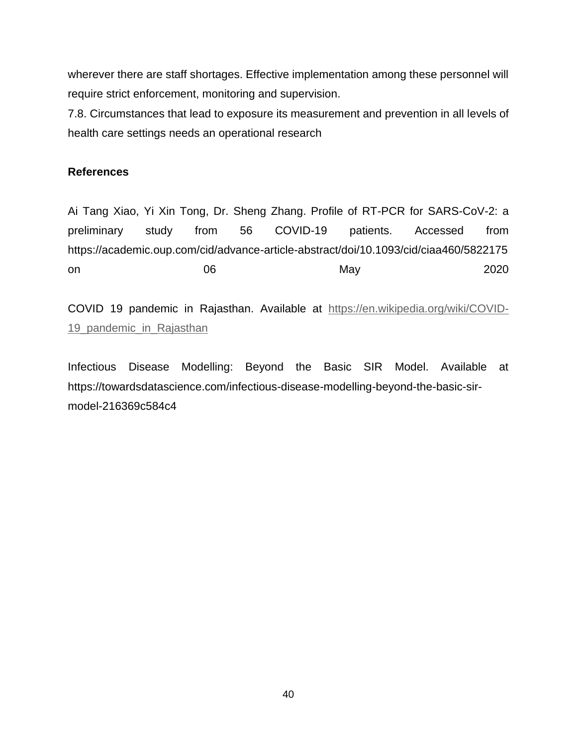wherever there are staff shortages. Effective implementation among these personnel will require strict enforcement, monitoring and supervision.

7.8. Circumstances that lead to exposure its measurement and prevention in all levels of health care settings needs an operational research

#### **References**

Ai Tang Xiao, Yi Xin Tong, Dr. Sheng Zhang. Profile of RT-PCR for SARS-CoV-2: a preliminary study from 56 COVID-19 patients. Accessed from https://academic.oup.com/cid/advance-article-abstract/doi/10.1093/cid/ciaa460/5822175 on 06 May 2020

COVID 19 pandemic in Rajasthan. Available at [https://en.wikipedia.org/wiki/COVID-](https://en.wikipedia.org/wiki/COVID-19_pandemic_in_Rajasthan)[19\\_pandemic\\_in\\_Rajasthan](https://en.wikipedia.org/wiki/COVID-19_pandemic_in_Rajasthan)

Infectious Disease Modelling: Beyond the Basic SIR Model. Available at https://towardsdatascience.com/infectious-disease-modelling-beyond-the-basic-sirmodel-216369c584c4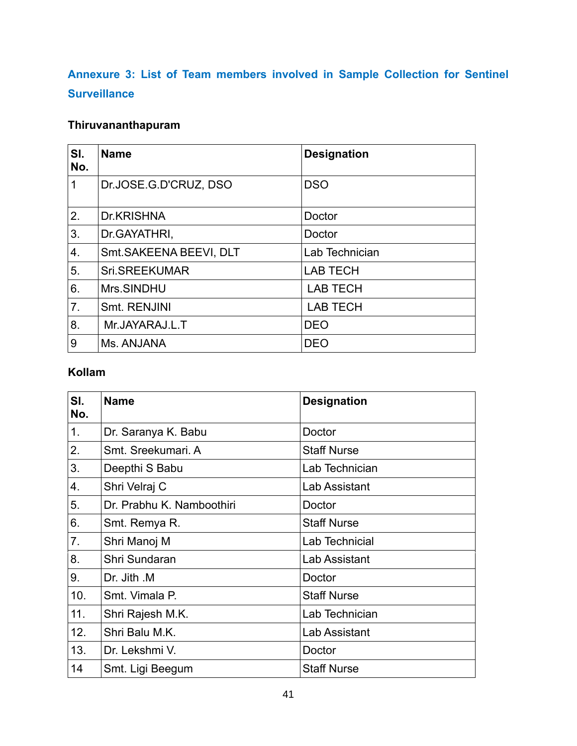# **Annexure 3: List of Team members involved in Sample Collection for Sentinel Surveillance**

# **Thiruvananthapuram**

| SI.<br>No. | <b>Name</b>            | <b>Designation</b> |
|------------|------------------------|--------------------|
| 1          | Dr.JOSE.G.D'CRUZ, DSO  | <b>DSO</b>         |
| 2.         | Dr.KRISHNA             | Doctor             |
| 3.         | Dr. GAYATHRI,          | Doctor             |
| 4.         | Smt.SAKEENA BEEVI, DLT | Lab Technician     |
| 5.         | Sri.SREEKUMAR          | <b>LAB TECH</b>    |
| 6.         | Mrs.SINDHU             | <b>LAB TECH</b>    |
| 7.         | Smt. RENJINI           | <b>LAB TECH</b>    |
| 8.         | Mr.JAYARAJ.L.T         | <b>DEO</b>         |
| 9          | Ms. ANJANA             | <b>DEO</b>         |

## **Kollam**

| SI.<br>No. | <b>Name</b>               | <b>Designation</b> |
|------------|---------------------------|--------------------|
| 1.         | Dr. Saranya K. Babu       | Doctor             |
| 2.         | Smt. Sreekumari. A        | <b>Staff Nurse</b> |
| 3.         | Deepthi S Babu            | Lab Technician     |
| 4.         | Shri Velraj C             | Lab Assistant      |
| 5.         | Dr. Prabhu K. Namboothiri | Doctor             |
| 6.         | Smt. Remya R.             | <b>Staff Nurse</b> |
| 7.         | Shri Manoj M              | Lab Technicial     |
| 8.         | Shri Sundaran             | Lab Assistant      |
| 9.         | Dr. Jith .M               | Doctor             |
| 10.        | Smt. Vimala P.            | <b>Staff Nurse</b> |
| 11.        | Shri Rajesh M.K.          | Lab Technician     |
| 12.        | Shri Balu M.K.            | Lab Assistant      |
| 13.        | Dr. Lekshmi V.            | Doctor             |
| 14         | Smt. Ligi Beegum          | <b>Staff Nurse</b> |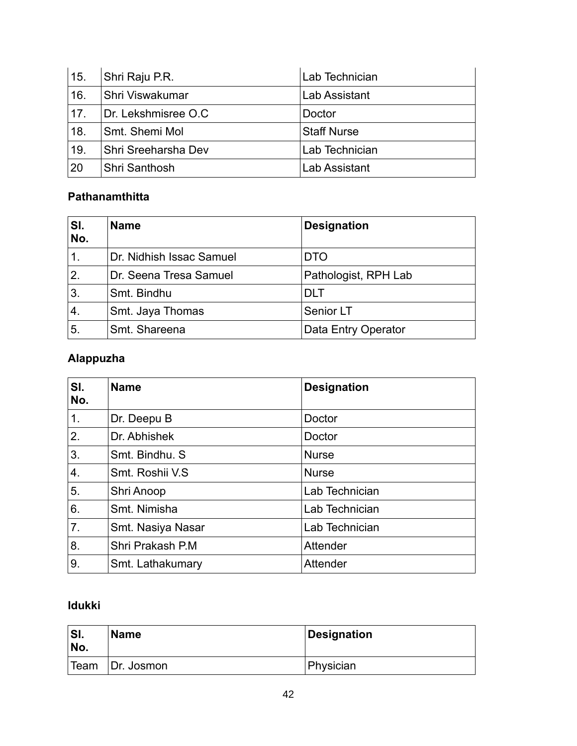| 15. | Shri Raju P.R.             | Lab Technician |
|-----|----------------------------|----------------|
| 16. | <b>Shri Viswakumar</b>     | Lab Assistant  |
| 17. | Dr. Lekshmisree O.C        | Doctor         |
| 18. | Smt. Shemi Mol             | ⊦Staff Nurse   |
| 19. | <b>Shri Sreeharsha Dev</b> | Lab Technician |
| 20  | <b>Shri Santhosh</b>       | Lab Assistant  |

## **Pathanamthitta**

| SI.<br>No.     | <b>Name</b>              | <b>Designation</b>   |
|----------------|--------------------------|----------------------|
| $\mathbf 1$ .  | Dr. Nidhish Issac Samuel | <b>DTO</b>           |
| 2.             | Dr. Seena Tresa Samuel   | Pathologist, RPH Lab |
| 3 <sub>1</sub> | Smt. Bindhu              | DI T                 |
| $\mathbf{4}$   | Smt. Jaya Thomas         | Senior LT            |
| 5.             | Smt. Shareena            | Data Entry Operator  |

## **Alappuzha**

| SI.<br>No.     | <b>Name</b>       | <b>Designation</b> |
|----------------|-------------------|--------------------|
| 1.             | Dr. Deepu B       | Doctor             |
| 2.             | Dr. Abhishek      | Doctor             |
| 3.             | Smt. Bindhu. S    | <b>Nurse</b>       |
| 4.             | Smt. Roshii V.S.  | <b>Nurse</b>       |
| 5.             | Shri Anoop        | Lab Technician     |
| 6.             | Smt. Nimisha      | Lab Technician     |
| 7 <sub>1</sub> | Smt. Nasiya Nasar | Lab Technician     |
| 8.             | Shri Prakash P.M. | Attender           |
| 9.             | Smt. Lathakumary  | Attender           |

## **Idukki**

| 'SI.<br>No. | <b>Name</b> | Designation |
|-------------|-------------|-------------|
| Team        | Dr. Josmon  | Physician   |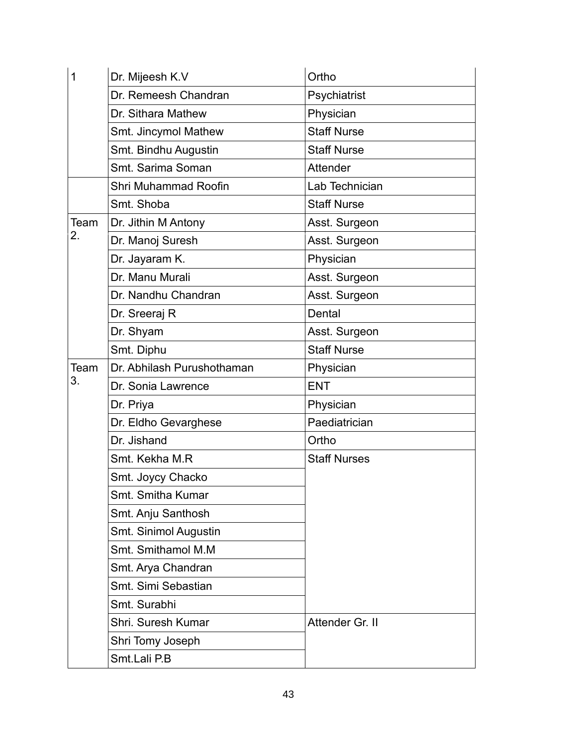| 1    | Dr. Mijeesh K.V            | Ortho               |
|------|----------------------------|---------------------|
|      | Dr. Remeesh Chandran       | Psychiatrist        |
|      | Dr. Sithara Mathew         | Physician           |
|      | Smt. Jincymol Mathew       | <b>Staff Nurse</b>  |
|      | Smt. Bindhu Augustin       | <b>Staff Nurse</b>  |
|      | Smt. Sarima Soman          | Attender            |
|      | Shri Muhammad Roofin       | Lab Technician      |
|      | Smt. Shoba                 | <b>Staff Nurse</b>  |
| Team | Dr. Jithin M Antony        | Asst. Surgeon       |
| 2.   | Dr. Manoj Suresh           | Asst. Surgeon       |
|      | Dr. Jayaram K.             | Physician           |
|      | Dr. Manu Murali            | Asst. Surgeon       |
|      | Dr. Nandhu Chandran        | Asst. Surgeon       |
|      | Dr. Sreeraj R              | Dental              |
|      | Dr. Shyam                  | Asst. Surgeon       |
|      | Smt. Diphu                 | <b>Staff Nurse</b>  |
| Team | Dr. Abhilash Purushothaman | Physician           |
| 3.   | Dr. Sonia Lawrence         | <b>ENT</b>          |
|      | Dr. Priya                  | Physician           |
|      | Dr. Eldho Gevarghese       | Paediatrician       |
|      | Dr. Jishand                | Ortho               |
|      | Smt. Kekha M.R             | <b>Staff Nurses</b> |
|      | Smt. Joycy Chacko          |                     |
|      | Smt. Smitha Kumar          |                     |
|      | Smt. Anju Santhosh         |                     |
|      | Smt. Sinimol Augustin      |                     |
|      | Smt. Smithamol M.M.        |                     |
|      | Smt. Arya Chandran         |                     |
|      | Smt. Simi Sebastian        |                     |
|      | Smt. Surabhi               |                     |
|      | Shri. Suresh Kumar         | Attender Gr. II     |
|      | Shri Tomy Joseph           |                     |
|      | Smt.Lali P.B               |                     |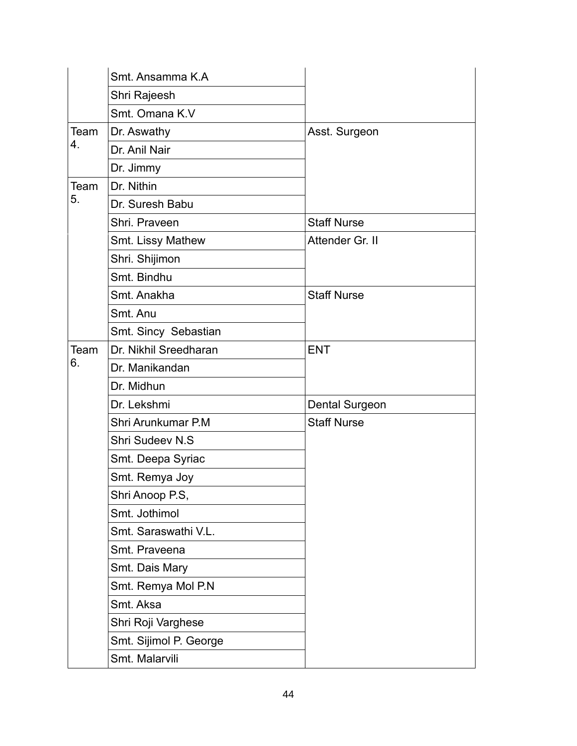|      | Smt. Ansamma K.A.      |                       |
|------|------------------------|-----------------------|
|      | Shri Rajeesh           |                       |
|      | Smt. Omana K.V         |                       |
| Team | Dr. Aswathy            | Asst. Surgeon         |
| 4.   | Dr. Anil Nair          |                       |
|      | Dr. Jimmy              |                       |
| Team | Dr. Nithin             |                       |
| 5.   | Dr. Suresh Babu        |                       |
|      | Shri. Praveen          | <b>Staff Nurse</b>    |
|      | Smt. Lissy Mathew      | Attender Gr. II       |
|      | Shri. Shijimon         |                       |
|      | Smt. Bindhu            |                       |
|      | Smt. Anakha            | <b>Staff Nurse</b>    |
|      | Smt. Anu               |                       |
|      | Smt. Sincy Sebastian   |                       |
| Team | Dr. Nikhil Sreedharan  | <b>ENT</b>            |
| 6.   | Dr. Manikandan         |                       |
|      | Dr. Midhun             |                       |
|      | Dr. Lekshmi            | <b>Dental Surgeon</b> |
|      | Shri Arunkumar P.M     | <b>Staff Nurse</b>    |
|      | <b>Shri Sudeev N.S</b> |                       |
|      | Smt. Deepa Syriac      |                       |
|      | Smt. Remya Joy         |                       |
|      | Shri Anoop P.S,        |                       |
|      | Smt. Jothimol          |                       |
|      | Smt. Saraswathi V.L.   |                       |
|      | Smt. Praveena          |                       |
|      | Smt. Dais Mary         |                       |
|      | Smt. Remya Mol P.N     |                       |
|      | Smt. Aksa              |                       |
|      | Shri Roji Varghese     |                       |
|      | Smt. Sijimol P. George |                       |
|      | Smt. Malarvili         |                       |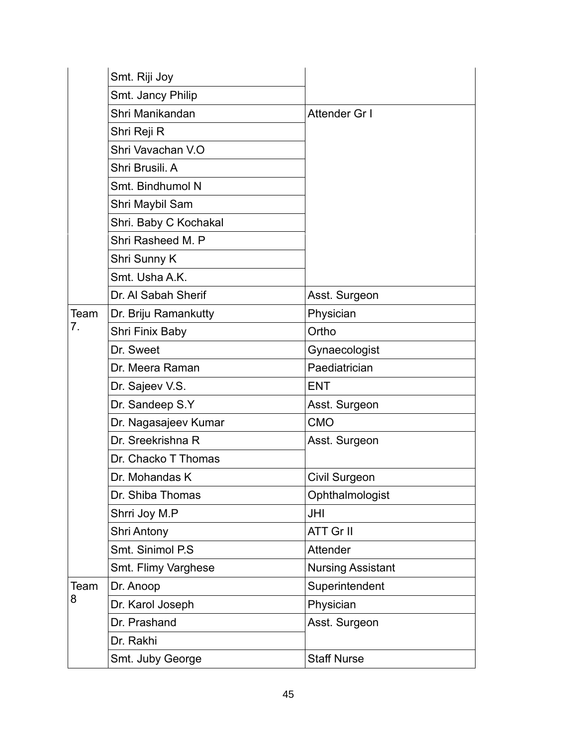|      | Smt. Riji Joy         |                          |
|------|-----------------------|--------------------------|
|      | Smt. Jancy Philip     |                          |
|      | Shri Manikandan       | Attender Gr I            |
|      | Shri Reji R           |                          |
|      | Shri Vavachan V.O     |                          |
|      | Shri Brusili, A       |                          |
|      | Smt. Bindhumol N      |                          |
|      | Shri Maybil Sam       |                          |
|      | Shri. Baby C Kochakal |                          |
|      | Shri Rasheed M. P     |                          |
|      | Shri Sunny K          |                          |
|      | Smt. Usha A.K.        |                          |
|      | Dr. Al Sabah Sherif   | Asst. Surgeon            |
| Team | Dr. Briju Ramankutty  | Physician                |
| 7.   | Shri Finix Baby       | Ortho                    |
|      | Dr. Sweet             | Gynaecologist            |
|      | Dr. Meera Raman       | Paediatrician            |
|      | Dr. Sajeev V.S.       | <b>ENT</b>               |
|      | Dr. Sandeep S.Y       | Asst. Surgeon            |
|      | Dr. Nagasajeev Kumar  | <b>CMO</b>               |
|      | Dr. Sreekrishna R     | Asst. Surgeon            |
|      | Dr. Chacko T Thomas   |                          |
|      | Dr. Mohandas K        | <b>Civil Surgeon</b>     |
|      | Dr. Shiba Thomas      | Ophthalmologist          |
|      | Shrri Joy M.P         | JHI                      |
|      | <b>Shri Antony</b>    | ATT Gr II                |
|      | Smt. Sinimol P.S.     | Attender                 |
|      | Smt. Flimy Varghese   | <b>Nursing Assistant</b> |
| Team | Dr. Anoop             | Superintendent           |
| 8    | Dr. Karol Joseph      | Physician                |
|      | Dr. Prashand          | Asst. Surgeon            |
|      | Dr. Rakhi             |                          |
|      | Smt. Juby George      | <b>Staff Nurse</b>       |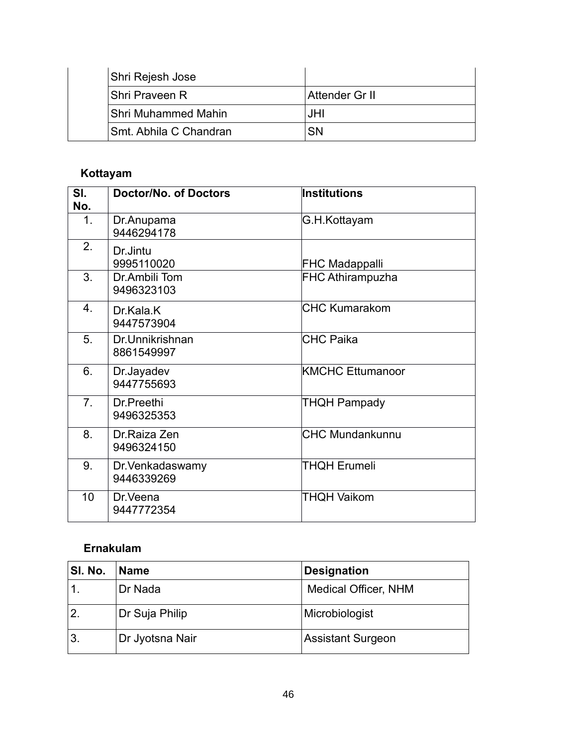| Shri Rejesh Jose                    |                |
|-------------------------------------|----------------|
| <b>Shri Praveen R</b>               | Attender Gr II |
| <b>Shri Muhammed Mahin</b>          | JHI.           |
| <sup>l</sup> Smt. Abhila C Chandran | SN             |

# **Kottayam**

| SI.<br>No.       | <b>Doctor/No. of Doctors</b>   | Institutions            |
|------------------|--------------------------------|-------------------------|
| $\mathbf 1$ .    | Dr.Anupama<br>9446294178       | G.H.Kottayam            |
| 2.               | Dr.Jintu<br>9995110020         | <b>FHC Madappalli</b>   |
| 3.               | Dr.Ambili Tom<br>9496323103    | <b>FHC Athirampuzha</b> |
| $\overline{4}$ . | Dr.Kala.K<br>9447573904        | ICHC Kumarakom          |
| 5.               | Dr.Unnikrishnan<br>8861549997  | <b>CHC Paika</b>        |
| 6.               | Dr.Jayadev<br>9447755693       | <b>KMCHC Ettumanoor</b> |
| 7 <sub>1</sub>   | Dr Preethi<br>9496325353       | THQH Pampady            |
| 8.               | Dr. Raiza Zen<br>9496324150    | <b>CHC Mundankunnu</b>  |
| 9.               | Dr. Venkadaswamy<br>9446339269 | <b>THQH Erumeli</b>     |
| 10               | Dr. Veena<br>9447772354        | THQH Vaikom             |

## **Ernakulam**

| SI. No.        | <b>Name</b>     | <b>Designation</b>          |
|----------------|-----------------|-----------------------------|
|                | Dr Nada         | <b>Medical Officer, NHM</b> |
| $\overline{2}$ | Dr Suja Philip  | Microbiologist              |
| ΄3.            | Dr Jyotsna Nair | <b>Assistant Surgeon</b>    |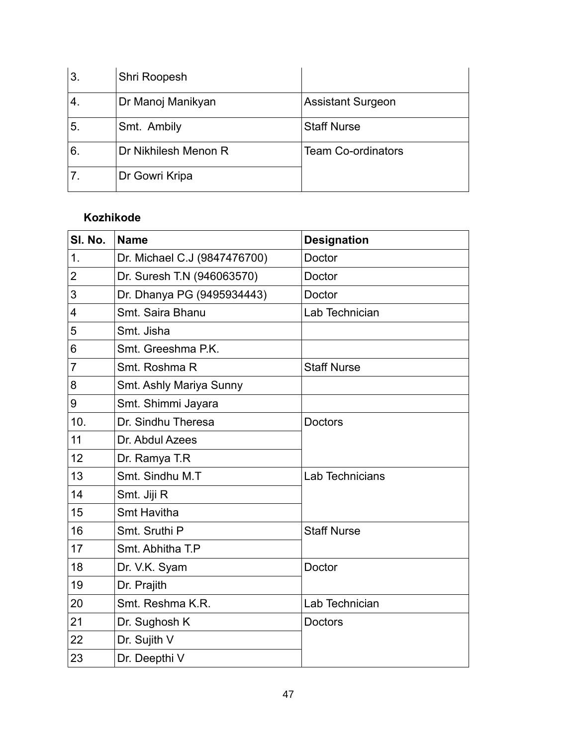| 3.             | Shri Roopesh         |                           |
|----------------|----------------------|---------------------------|
|                | Dr Manoj Manikyan    | <b>Assistant Surgeon</b>  |
| 5 <sub>1</sub> | Smt. Ambily          | <b>Staff Nurse</b>        |
| 6              | Dr Nikhilesh Menon R | <b>Team Co-ordinators</b> |
|                | Dr Gowri Kripa       |                           |

## **Kozhikode**

| SI. No.        | <b>Name</b>                  | <b>Designation</b> |
|----------------|------------------------------|--------------------|
| $\mathbf 1$ .  | Dr. Michael C.J (9847476700) | Doctor             |
| $\overline{2}$ | Dr. Suresh T.N (946063570)   | Doctor             |
| 3              | Dr. Dhanya PG (9495934443)   | Doctor             |
| 4              | Smt. Saira Bhanu             | Lab Technician     |
| 5              | Smt. Jisha                   |                    |
| 6              | Smt. Greeshma P.K.           |                    |
| $\overline{7}$ | Smt. Roshma R                | <b>Staff Nurse</b> |
| 8              | Smt. Ashly Mariya Sunny      |                    |
| 9              | Smt. Shimmi Jayara           |                    |
| 10.            | Dr. Sindhu Theresa           | <b>Doctors</b>     |
| 11             | Dr. Abdul Azees              |                    |
| 12             | Dr. Ramya T.R                |                    |
| 13             | Smt. Sindhu M.T.             | Lab Technicians    |
| 14             | Smt. Jiji R                  |                    |
| 15             | <b>Smt Havitha</b>           |                    |
| 16             | Smt. Sruthi P                | <b>Staff Nurse</b> |
| 17             | Smt. Abhitha T.P             |                    |
| 18             | Dr. V.K. Syam                | Doctor             |
| 19             | Dr. Prajith                  |                    |
| 20             | Smt. Reshma K.R.             | Lab Technician     |
| 21             | Dr. Sughosh K                | <b>Doctors</b>     |
| 22             | Dr. Sujith V                 |                    |
| 23             | Dr. Deepthi V                |                    |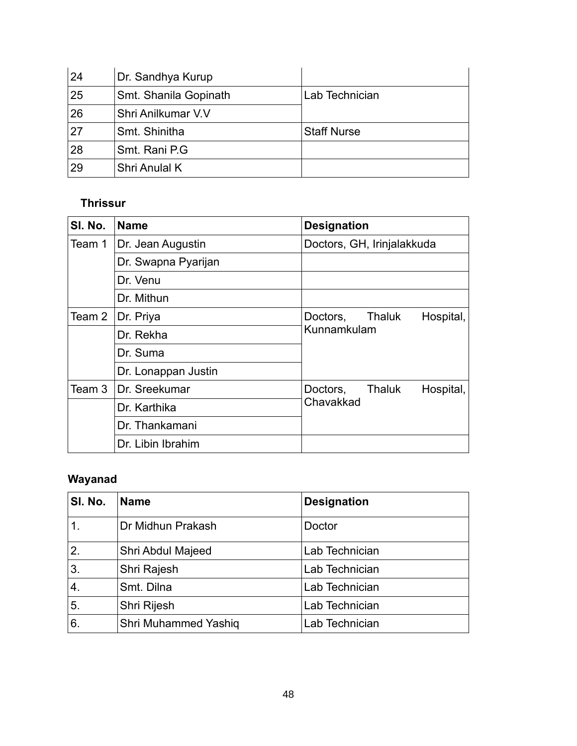| 24 | Dr. Sandhya Kurup     |                    |
|----|-----------------------|--------------------|
| 25 | Smt. Shanila Gopinath | Lab Technician     |
| 26 | Shri Anilkumar V.V    |                    |
| 27 | Smt. Shinitha         | <b>Staff Nurse</b> |
| 28 | Smt. Rani P.G         |                    |
| 29 | Shri Anulal K         |                    |

## **Thrissur**

| SI. No.                        | <b>Name</b>         | <b>Designation</b>              |
|--------------------------------|---------------------|---------------------------------|
| Team 1                         | Dr. Jean Augustin   | Doctors, GH, Irinjalakkuda      |
|                                | Dr. Swapna Pyarijan |                                 |
|                                | Dr. Venu            |                                 |
|                                | Dr. Mithun          |                                 |
| Team 2                         | Dr. Priya           | Hospital,<br>Doctors,<br>Thaluk |
|                                | Dr. Rekha           | Kunnamkulam                     |
|                                | Dr. Suma            |                                 |
|                                | Dr. Lonappan Justin |                                 |
| Team 3                         | Dr. Sreekumar       | Doctors,<br>Thaluk<br>Hospital, |
| Dr. Karthika<br>Dr. Thankamani |                     | Chavakkad                       |
|                                |                     |                                 |
|                                | Dr. Libin Ibrahim   |                                 |

# **Wayanad**

| SI. No.        | <b>Name</b>                 | <b>Designation</b> |
|----------------|-----------------------------|--------------------|
| $\mathbf 1$ .  | Dr Midhun Prakash           | Doctor             |
| 2.             | Shri Abdul Majeed           | Lab Technician     |
| 3.             | Shri Rajesh                 | Lab Technician     |
| $\overline{4}$ | Smt. Dilna                  | Lab Technician     |
| 5.             | Shri Rijesh                 | Lab Technician     |
| 6.             | <b>Shri Muhammed Yashiq</b> | Lab Technician     |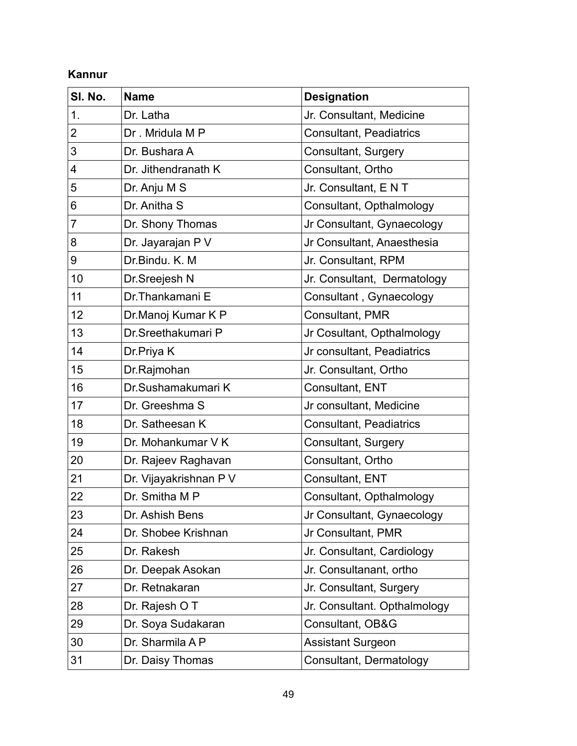## **Kannur**

| SI. No.        | <b>Name</b>            | <b>Designation</b>             |
|----------------|------------------------|--------------------------------|
| 1.             | Dr. Latha              | Jr. Consultant, Medicine       |
| 2              | Dr. Mridula M P        | <b>Consultant, Peadiatrics</b> |
| 3              | Dr. Bushara A          | Consultant, Surgery            |
| 4              | Dr. Jithendranath K    | Consultant, Ortho              |
| 5              | Dr. Anju M S           | Jr. Consultant, E N T          |
| 6              | Dr. Anitha S           | Consultant, Opthalmology       |
| $\overline{7}$ | Dr. Shony Thomas       | Jr Consultant, Gynaecology     |
| 8              | Dr. Jayarajan P V      | Jr Consultant, Anaesthesia     |
| 9              | Dr.Bindu. K. M         | Jr. Consultant, RPM            |
| 10             | Dr.Sreejesh N          | Jr. Consultant, Dermatology    |
| 11             | Dr. Thankamani E       | Consultant, Gynaecology        |
| 12             | Dr.Manoj Kumar K P     | <b>Consultant, PMR</b>         |
| 13             | Dr.Sreethakumari P     | Jr Cosultant, Opthalmology     |
| 14             | Dr.Priya K             | Jr consultant, Peadiatrics     |
| 15             | Dr.Rajmohan            | Jr. Consultant, Ortho          |
| 16             | Dr.Sushamakumari K     | Consultant, ENT                |
| 17             | Dr. Greeshma S         | Jr consultant, Medicine        |
| 18             | Dr. Satheesan K        | <b>Consultant, Peadiatrics</b> |
| 19             | Dr. Mohankumar V K     | <b>Consultant, Surgery</b>     |
| 20             | Dr. Rajeev Raghavan    | Consultant, Ortho              |
| 21             | Dr. Vijayakrishnan P V | Consultant, ENT                |
| 22             | Dr. Smitha M P         | Consultant, Opthalmology       |
| 23             | Dr. Ashish Bens        | Jr Consultant, Gynaecology     |
| 24             | Dr. Shobee Krishnan    | Jr Consultant, PMR             |
| 25             | Dr. Rakesh             | Jr. Consultant, Cardiology     |
| 26             | Dr. Deepak Asokan      | Jr. Consultanant, ortho        |
| 27             | Dr. Retnakaran         | Jr. Consultant, Surgery        |
| 28             | Dr. Rajesh OT          | Jr. Consultant. Opthalmology   |
| 29             | Dr. Soya Sudakaran     | <b>Consultant, OB&amp;G</b>    |
| 30             | Dr. Sharmila A P       | <b>Assistant Surgeon</b>       |
| 31             | Dr. Daisy Thomas       | Consultant, Dermatology        |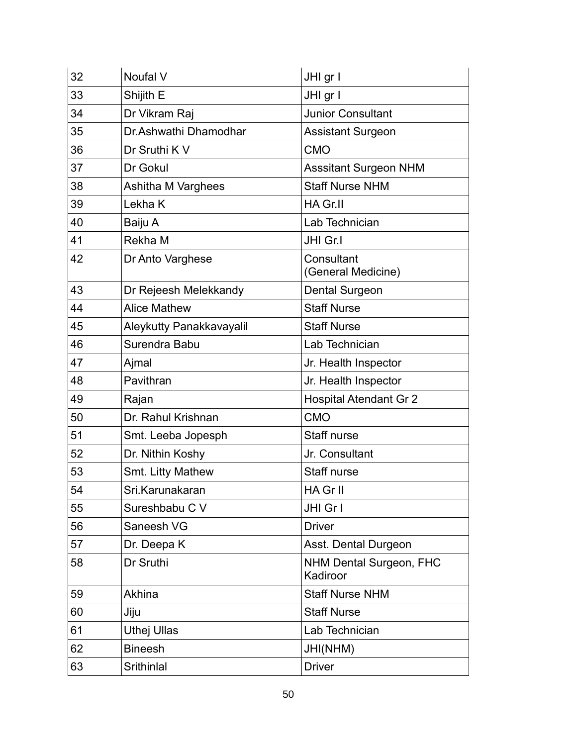| 32 | Noufal V                  | JHI gr I                                   |
|----|---------------------------|--------------------------------------------|
| 33 | Shijith E                 | JHI gr I                                   |
| 34 | Dr Vikram Raj             | <b>Junior Consultant</b>                   |
| 35 | Dr.Ashwathi Dhamodhar     | <b>Assistant Surgeon</b>                   |
| 36 | Dr Sruthi K V             | <b>CMO</b>                                 |
| 37 | Dr Gokul                  | <b>Asssitant Surgeon NHM</b>               |
| 38 | <b>Ashitha M Varghees</b> | <b>Staff Nurse NHM</b>                     |
| 39 | Lekha K                   | HA Gr.II                                   |
| 40 | Baiju A                   | Lab Technician                             |
| 41 | Rekha M                   | JHI Gr.I                                   |
| 42 | Dr Anto Varghese          | Consultant<br>(General Medicine)           |
| 43 | Dr Rejeesh Melekkandy     | <b>Dental Surgeon</b>                      |
| 44 | <b>Alice Mathew</b>       | <b>Staff Nurse</b>                         |
| 45 | Aleykutty Panakkavayalil  | <b>Staff Nurse</b>                         |
| 46 | Surendra Babu             | Lab Technician                             |
| 47 | Ajmal                     | Jr. Health Inspector                       |
| 48 | Pavithran                 | Jr. Health Inspector                       |
| 49 | Rajan                     | <b>Hospital Atendant Gr 2</b>              |
| 50 | Dr. Rahul Krishnan        | <b>CMO</b>                                 |
| 51 | Smt. Leeba Jopesph        | Staff nurse                                |
| 52 | Dr. Nithin Koshy          | Jr. Consultant                             |
| 53 | Smt. Litty Mathew         | Staff nurse                                |
| 54 | Sri.Karunakaran           | HA Gr II                                   |
| 55 | Sureshbabu C V            | JHI Gr I                                   |
| 56 | Saneesh VG                | <b>Driver</b>                              |
| 57 | Dr. Deepa K               | Asst. Dental Durgeon                       |
| 58 | Dr Sruthi                 | <b>NHM Dental Surgeon, FHC</b><br>Kadiroor |
| 59 | Akhina                    | <b>Staff Nurse NHM</b>                     |
| 60 | Jiju                      | <b>Staff Nurse</b>                         |
| 61 | <b>Uthej Ullas</b>        | Lab Technician                             |
| 62 | <b>Bineesh</b>            | JHI(NHM)                                   |
| 63 | Srithinlal                | <b>Driver</b>                              |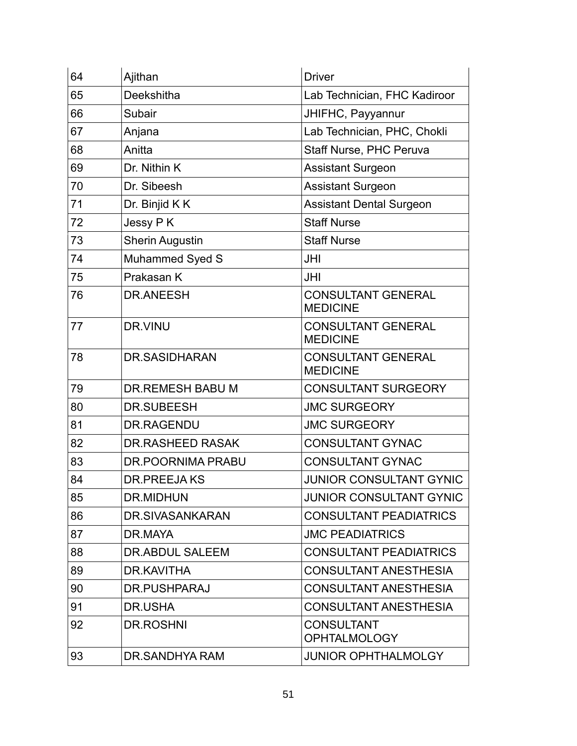| 64 | Ajithan                  | <b>Driver</b>                                |
|----|--------------------------|----------------------------------------------|
| 65 | Deekshitha               | Lab Technician, FHC Kadiroor                 |
| 66 | Subair                   | JHIFHC, Payyannur                            |
| 67 | Anjana                   | Lab Technician, PHC, Chokli                  |
| 68 | Anitta                   | <b>Staff Nurse, PHC Peruva</b>               |
| 69 | Dr. Nithin K             | <b>Assistant Surgeon</b>                     |
| 70 | Dr. Sibeesh              | <b>Assistant Surgeon</b>                     |
| 71 | Dr. Binjid K K           | <b>Assistant Dental Surgeon</b>              |
| 72 | Jessy PK                 | <b>Staff Nurse</b>                           |
| 73 | <b>Sherin Augustin</b>   | <b>Staff Nurse</b>                           |
| 74 | <b>Muhammed Syed S</b>   | JHI                                          |
| 75 | Prakasan K               | <b>JHI</b>                                   |
| 76 | <b>DR.ANEESH</b>         | <b>CONSULTANT GENERAL</b><br><b>MEDICINE</b> |
| 77 | DR.VINU                  | <b>CONSULTANT GENERAL</b><br><b>MEDICINE</b> |
| 78 | DR.SASIDHARAN            | <b>CONSULTANT GENERAL</b><br><b>MEDICINE</b> |
| 79 | <b>DR.REMESH BABU M</b>  | <b>CONSULTANT SURGEORY</b>                   |
| 80 | <b>DR.SUBEESH</b>        | <b>JMC SURGEORY</b>                          |
| 81 | DR.RAGENDU               | <b>JMC SURGEORY</b>                          |
| 82 | <b>DR.RASHEED RASAK</b>  | <b>CONSULTANT GYNAC</b>                      |
| 83 | <b>DR.POORNIMA PRABU</b> | <b>CONSULTANT GYNAC</b>                      |
| 84 | <b>DR.PREEJAKS</b>       | <b>JUNIOR CONSULTANT GYNIC</b>               |
| 85 | DR.MIDHUN                | <b>JUNIOR CONSULTANT GYNIC</b>               |
| 86 | DR.SIVASANKARAN          | <b>CONSULTANT PEADIATRICS</b>                |
| 87 | DR.MAYA                  | <b>JMC PEADIATRICS</b>                       |
| 88 | DR.ABDUL SALEEM          | <b>CONSULTANT PEADIATRICS</b>                |
| 89 | DR.KAVITHA               | <b>CONSULTANT ANESTHESIA</b>                 |
| 90 | DR.PUSHPARAJ             | <b>CONSULTANT ANESTHESIA</b>                 |
| 91 | DR.USHA                  | <b>CONSULTANT ANESTHESIA</b>                 |
| 92 | DR.ROSHNI                | <b>CONSULTANT</b><br><b>OPHTALMOLOGY</b>     |
| 93 | DR.SANDHYA RAM           | <b>JUNIOR OPHTHALMOLGY</b>                   |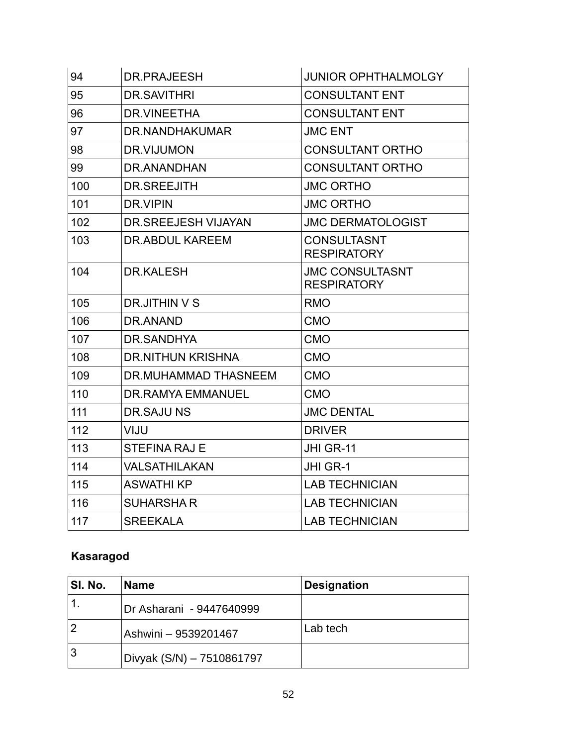| 94  | DR.PRAJEESH                | <b>JUNIOR OPHTHALMOLGY</b>                   |
|-----|----------------------------|----------------------------------------------|
| 95  | <b>DR.SAVITHRI</b>         | <b>CONSULTANT ENT</b>                        |
| 96  | DR.VINEETHA                | <b>CONSULTANT ENT</b>                        |
| 97  | DR. NANDHAKUMAR            | <b>JMC ENT</b>                               |
| 98  | DR.VIJUMON                 | <b>CONSULTANT ORTHO</b>                      |
| 99  | DR.ANANDHAN                | <b>CONSULTANT ORTHO</b>                      |
| 100 | <b>DR.SREEJITH</b>         | <b>JMC ORTHO</b>                             |
| 101 | DR.VIPIN                   | <b>JMC ORTHO</b>                             |
| 102 | <b>DR.SREEJESH VIJAYAN</b> | <b>JMC DERMATOLOGIST</b>                     |
| 103 | DR. ABDUL KAREEM           | <b>CONSULTASNT</b><br><b>RESPIRATORY</b>     |
| 104 | DR.KALESH                  | <b>JMC CONSULTASNT</b><br><b>RESPIRATORY</b> |
| 105 | DR.JITHIN V S              | <b>RMO</b>                                   |
| 106 | DR.ANAND                   | <b>CMO</b>                                   |
| 107 | DR.SANDHYA                 | <b>CMO</b>                                   |
| 108 | <b>DR.NITHUN KRISHNA</b>   | <b>CMO</b>                                   |
| 109 | DR.MUHAMMAD THASNEEM       | <b>CMO</b>                                   |
| 110 | <b>DR.RAMYA EMMANUEL</b>   | <b>CMO</b>                                   |
| 111 | <b>DR.SAJUNS</b>           | <b>JMC DENTAL</b>                            |
| 112 | VIJU                       | <b>DRIVER</b>                                |
| 113 | <b>STEFINA RAJ E</b>       | JHI GR-11                                    |
| 114 | <b>VALSATHILAKAN</b>       | JHI GR-1                                     |
| 115 | <b>ASWATHI KP</b>          | <b>LAB TECHNICIAN</b>                        |
| 116 | <b>SUHARSHAR</b>           | <b>LAB TECHNICIAN</b>                        |
| 117 | <b>SREEKALA</b>            | <b>LAB TECHNICIAN</b>                        |

# **Kasaragod**

| SI. No.        | <b>Name</b>               | <b>Designation</b> |
|----------------|---------------------------|--------------------|
|                | Dr Asharani - 9447640999  |                    |
| $\overline{2}$ | Ashwini - 9539201467      | Lab tech           |
| 3              | Divyak (S/N) – 7510861797 |                    |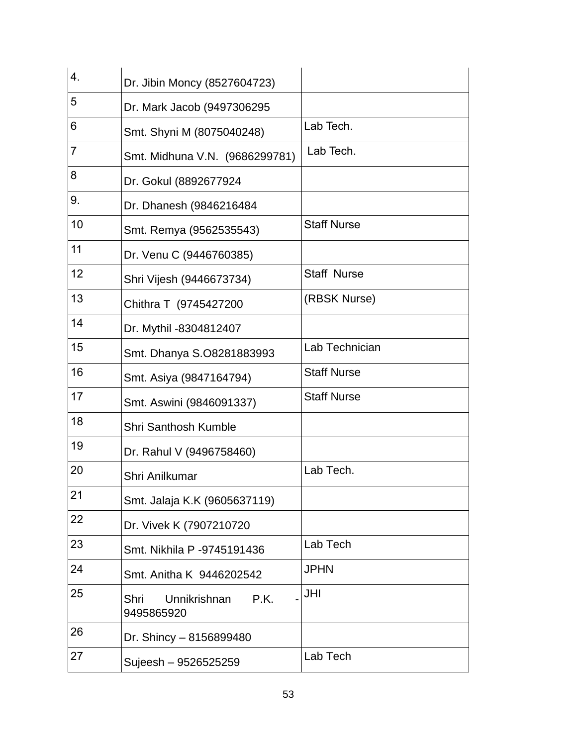| 4.             | Dr. Jibin Moncy (8527604723)               |                    |
|----------------|--------------------------------------------|--------------------|
| 5              | Dr. Mark Jacob (9497306295                 |                    |
| 6              | Smt. Shyni M (8075040248)                  | Lab Tech.          |
| $\overline{7}$ | Smt. Midhuna V.N. (9686299781)             | Lab Tech.          |
| 8              | Dr. Gokul (8892677924                      |                    |
| 9.             | Dr. Dhanesh (9846216484                    |                    |
| 10             | Smt. Remya (9562535543)                    | <b>Staff Nurse</b> |
| 11             | Dr. Venu C (9446760385)                    |                    |
| 12             | Shri Vijesh (9446673734)                   | <b>Staff Nurse</b> |
| 13             | Chithra T (9745427200                      | (RBSK Nurse)       |
| 14             | Dr. Mythil -8304812407                     |                    |
| 15             | Smt. Dhanya S.O8281883993                  | Lab Technician     |
| 16             | Smt. Asiya (9847164794)                    | <b>Staff Nurse</b> |
| 17             | Smt. Aswini (9846091337)                   | <b>Staff Nurse</b> |
| 18             | <b>Shri Santhosh Kumble</b>                |                    |
| 19             | Dr. Rahul V (9496758460)                   |                    |
| 20             | Shri Anilkumar                             | Lab Tech.          |
| 21             | Smt. Jalaja K.K (9605637119)               |                    |
| 22             | Dr. Vivek K (7907210720                    |                    |
| 23             | Smt. Nikhila P -9745191436                 | Lab Tech           |
| 24             | Smt. Anitha K 9446202542                   | <b>JPHN</b>        |
| 25             | Unnikrishnan<br>P.K.<br>Shri<br>9495865920 | JHI                |
| 26             | Dr. Shincy - 8156899480                    |                    |
| 27             | Sujeesh - 9526525259                       | Lab Tech           |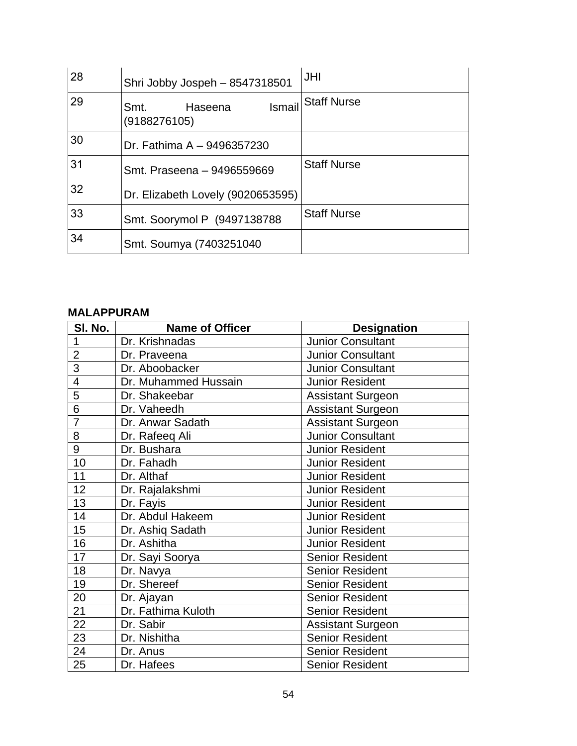| 28 | Shri Jobby Jospeh - 8547318501            | <b>JHI</b>         |
|----|-------------------------------------------|--------------------|
| 29 | Ismail<br>Haseena<br>Smt.<br>(9188276105) | <b>Staff Nurse</b> |
| 30 | Dr. Fathima A - 9496357230                |                    |
| 31 | Smt. Praseena - 9496559669                | <b>Staff Nurse</b> |
| 32 | Dr. Elizabeth Lovely (9020653595)         |                    |
| 33 | Smt. Soorymol P (9497138788               | <b>Staff Nurse</b> |
| 34 | Smt. Soumya (7403251040                   |                    |

### **MALAPPURAM**

| SI. No.        | <b>Name of Officer</b> | <b>Designation</b>       |
|----------------|------------------------|--------------------------|
| 1              | Dr. Krishnadas         | <b>Junior Consultant</b> |
| $\overline{2}$ | Dr. Praveena           | <b>Junior Consultant</b> |
| 3              | Dr. Aboobacker         | <b>Junior Consultant</b> |
| 4              | Dr. Muhammed Hussain   | <b>Junior Resident</b>   |
| $\overline{5}$ | Dr. Shakeebar          | <b>Assistant Surgeon</b> |
| 6              | Dr. Vaheedh            | <b>Assistant Surgeon</b> |
| $\overline{7}$ | Dr. Anwar Sadath       | <b>Assistant Surgeon</b> |
| 8              | Dr. Rafeeq Ali         | <b>Junior Consultant</b> |
| 9              | Dr. Bushara            | <b>Junior Resident</b>   |
| 10             | Dr. Fahadh             | <b>Junior Resident</b>   |
| 11             | Dr. Althaf             | <b>Junior Resident</b>   |
| 12             | Dr. Rajalakshmi        | <b>Junior Resident</b>   |
| 13             | Dr. Fayis              | <b>Junior Resident</b>   |
| 14             | Dr. Abdul Hakeem       | <b>Junior Resident</b>   |
| 15             | Dr. Ashiq Sadath       | <b>Junior Resident</b>   |
| 16             | Dr. Ashitha            | <b>Junior Resident</b>   |
| 17             | Dr. Sayi Soorya        | <b>Senior Resident</b>   |
| 18             | Dr. Navya              | <b>Senior Resident</b>   |
| 19             | Dr. Shereef            | <b>Senior Resident</b>   |
| 20             | Dr. Ajayan             | <b>Senior Resident</b>   |
| 21             | Dr. Fathima Kuloth     | <b>Senior Resident</b>   |
| 22             | Dr. Sabir              | <b>Assistant Surgeon</b> |
| 23             | Dr. Nishitha           | <b>Senior Resident</b>   |
| 24             | Dr. Anus               | <b>Senior Resident</b>   |
| 25             | Dr. Hafees             | <b>Senior Resident</b>   |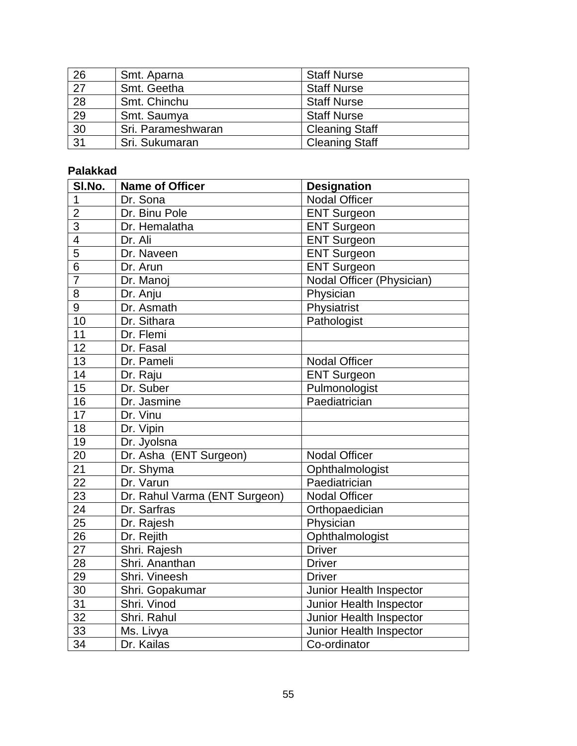| 26              | Smt. Aparna        | <b>Staff Nurse</b>    |
|-----------------|--------------------|-----------------------|
| $\overline{27}$ | Smt. Geetha        | <b>Staff Nurse</b>    |
| 28              | Smt. Chinchu       | <b>Staff Nurse</b>    |
| 29              | Smt. Saumya        | <b>Staff Nurse</b>    |
| $\overline{30}$ | Sri. Parameshwaran | <b>Cleaning Staff</b> |
| $\overline{31}$ | Sri. Sukumaran     | <b>Cleaning Staff</b> |

## **Palakkad**

| SI.No.                   | <b>Name of Officer</b>        | <b>Designation</b>        |
|--------------------------|-------------------------------|---------------------------|
| 1                        | Dr. Sona                      | <b>Nodal Officer</b>      |
| $\overline{2}$           | Dr. Binu Pole                 | <b>ENT Surgeon</b>        |
| $\overline{3}$           | Dr. Hemalatha                 | <b>ENT Surgeon</b>        |
| $\overline{\mathcal{A}}$ | Dr. Ali                       | <b>ENT Surgeon</b>        |
| $\overline{5}$           | Dr. Naveen                    | <b>ENT Surgeon</b>        |
| $\overline{6}$           | Dr. Arun                      | <b>ENT Surgeon</b>        |
| $\overline{7}$           | Dr. Manoj                     | Nodal Officer (Physician) |
| 8                        | Dr. Anju                      | Physician                 |
| 9                        | Dr. Asmath                    | Physiatrist               |
| 10                       | Dr. Sithara                   | Pathologist               |
| 11                       | Dr. Flemi                     |                           |
| 12                       | Dr. Fasal                     |                           |
| 13                       | Dr. Pameli                    | <b>Nodal Officer</b>      |
| 14                       | Dr. Raju                      | <b>ENT Surgeon</b>        |
| 15                       | Dr. Suber                     | Pulmonologist             |
| 16                       | Dr. Jasmine                   | Paediatrician             |
| $\overline{17}$          | Dr. Vinu                      |                           |
| 18                       | Dr. Vipin                     |                           |
| 19                       | Dr. Jyolsna                   |                           |
| 20                       | Dr. Asha (ENT Surgeon)        | <b>Nodal Officer</b>      |
| $\overline{21}$          | Dr. Shyma                     | Ophthalmologist           |
| 22                       | Dr. Varun                     | Paediatrician             |
| 23                       | Dr. Rahul Varma (ENT Surgeon) | <b>Nodal Officer</b>      |
| 24                       | Dr. Sarfras                   | Orthopaedician            |
| 25                       | Dr. Rajesh                    | Physician                 |
| 26                       | Dr. Rejith                    | Ophthalmologist           |
| 27                       | Shri. Rajesh                  | <b>Driver</b>             |
| 28                       | Shri. Ananthan                | <b>Driver</b>             |
| 29                       | Shri. Vineesh                 | <b>Driver</b>             |
| 30                       | Shri. Gopakumar               | Junior Health Inspector   |
| 31                       | Shri. Vinod                   | Junior Health Inspector   |
| 32                       | Shri. Rahul                   | Junior Health Inspector   |
| 33                       | Ms. Livya                     | Junior Health Inspector   |
| 34                       | Dr. Kailas                    | Co-ordinator              |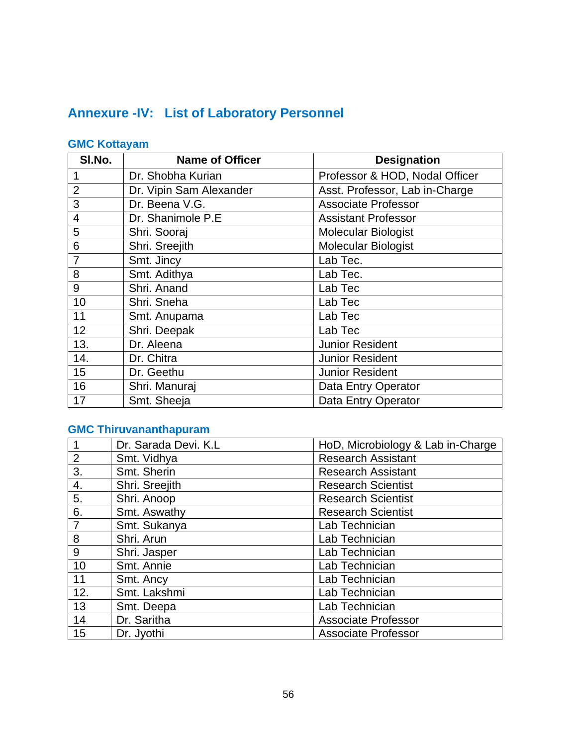# **Annexure -IV: List of Laboratory Personnel**

## **GMC Kottayam**

| SI.No.         | <b>Name of Officer</b>  | <b>Designation</b>             |
|----------------|-------------------------|--------------------------------|
| 1              | Dr. Shobha Kurian       | Professor & HOD, Nodal Officer |
| $\overline{2}$ | Dr. Vipin Sam Alexander | Asst. Professor, Lab in-Charge |
| 3              | Dr. Beena V.G.          | <b>Associate Professor</b>     |
| $\overline{4}$ | Dr. Shanimole P.E       | <b>Assistant Professor</b>     |
| 5              | Shri. Sooraj            | <b>Molecular Biologist</b>     |
| 6              | Shri. Sreejith          | <b>Molecular Biologist</b>     |
| $\overline{7}$ | Smt. Jincy              | Lab Tec.                       |
| 8              | Smt. Adithya            | Lab Tec.                       |
| 9              | Shri, Anand             | Lab Tec                        |
| 10             | Shri. Sneha             | Lab Tec                        |
| 11             | Smt. Anupama            | Lab Tec                        |
| 12             | Shri. Deepak            | Lab Tec                        |
| 13.            | Dr. Aleena              | <b>Junior Resident</b>         |
| 14.            | Dr. Chitra              | Junior Resident                |
| 15             | Dr. Geethu              | <b>Junior Resident</b>         |
| 16             | Shri. Manuraj           | Data Entry Operator            |
| 17             | Smt. Sheeja             | Data Entry Operator            |

## **GMC Thiruvananthapuram**

| 1              | Dr. Sarada Devi. K.L | HoD, Microbiology & Lab in-Charge |
|----------------|----------------------|-----------------------------------|
| 2              | Smt. Vidhya          | <b>Research Assistant</b>         |
| 3.             | Smt. Sherin          | <b>Research Assistant</b>         |
| 4.             | Shri. Sreejith       | <b>Research Scientist</b>         |
| 5.             | Shri. Anoop          | <b>Research Scientist</b>         |
| 6.             | Smt. Aswathy         | <b>Research Scientist</b>         |
| $\overline{7}$ | Smt. Sukanya         | Lab Technician                    |
| 8              | Shri. Arun           | Lab Technician                    |
| 9              | Shri. Jasper         | Lab Technician                    |
| 10             | Smt. Annie           | Lab Technician                    |
| 11             | Smt. Ancy            | Lab Technician                    |
| 12.            | Smt. Lakshmi         | Lab Technician                    |
| 13             | Smt. Deepa           | Lab Technician                    |
| 14             | Dr. Saritha          | <b>Associate Professor</b>        |
| 15             | Dr. Jyothi           | <b>Associate Professor</b>        |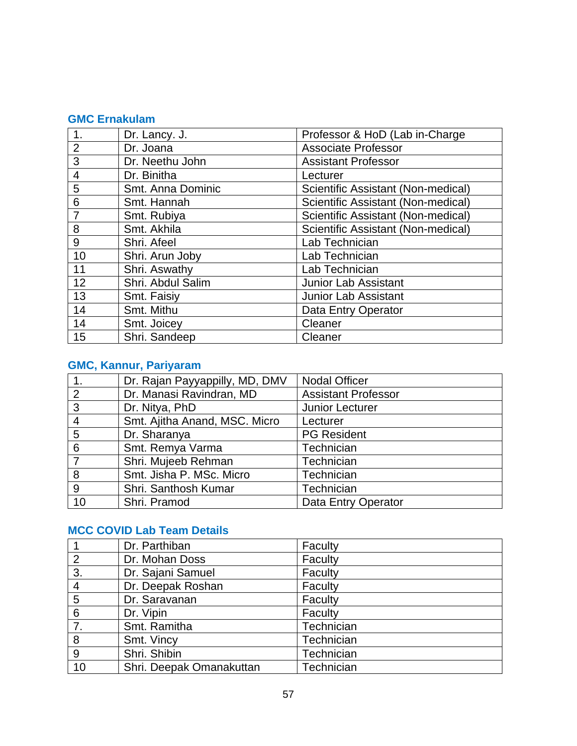### **GMC Ernakulam**

| 1.             | Dr. Lancy. J.     | Professor & HoD (Lab in-Charge     |
|----------------|-------------------|------------------------------------|
| $\overline{2}$ | Dr. Joana         | <b>Associate Professor</b>         |
| 3              | Dr. Neethu John   | <b>Assistant Professor</b>         |
| $\overline{4}$ | Dr. Binitha       | Lecturer                           |
| 5              | Smt. Anna Dominic | Scientific Assistant (Non-medical) |
| 6              | Smt. Hannah       | Scientific Assistant (Non-medical) |
|                | Smt. Rubiya       | Scientific Assistant (Non-medical) |
| 8              | Smt. Akhila       | Scientific Assistant (Non-medical) |
| 9              | Shri, Afeel       | Lab Technician                     |
| 10             | Shri. Arun Joby   | Lab Technician                     |
| 11             | Shri. Aswathy     | Lab Technician                     |
| 12             | Shri. Abdul Salim | Junior Lab Assistant               |
| 13             | Smt. Faisiy       | Junior Lab Assistant               |
| 14             | Smt. Mithu        | Data Entry Operator                |
| 14             | Smt. Joicey       | Cleaner                            |
| 15             | Shri. Sandeep     | Cleaner                            |

# **GMC, Kannur, Pariyaram**

|                | Dr. Rajan Payyappilly, MD, DMV | <b>Nodal Officer</b>       |
|----------------|--------------------------------|----------------------------|
| 2              | Dr. Manasi Ravindran, MD       | <b>Assistant Professor</b> |
| 3              | Dr. Nitya, PhD                 | Junior Lecturer            |
| $\overline{4}$ | Smt. Ajitha Anand, MSC. Micro  | Lecturer                   |
| 5              | Dr. Sharanya                   | <b>PG Resident</b>         |
| 6              | Smt. Remya Varma               | Technician                 |
| $\overline{ }$ | Shri. Mujeeb Rehman            | Technician                 |
| 8              | Smt. Jisha P. MSc. Micro       | Technician                 |
| 9              | Shri. Santhosh Kumar           | Technician                 |
| 10             | Shri. Pramod                   | Data Entry Operator        |

## **MCC COVID Lab Team Details**

|                | Dr. Parthiban            | Faculty    |
|----------------|--------------------------|------------|
| $\overline{2}$ | Dr. Mohan Doss           | Faculty    |
| 3.             | Dr. Sajani Samuel        | Faculty    |
| 4              | Dr. Deepak Roshan        | Faculty    |
| 5              | Dr. Saravanan            | Faculty    |
| 6              | Dr. Vipin                | Faculty    |
| 7.             | Smt. Ramitha             | Technician |
| 8              | Smt. Vincy               | Technician |
| 9              | Shri. Shibin             | Technician |
| 10             | Shri. Deepak Omanakuttan | Technician |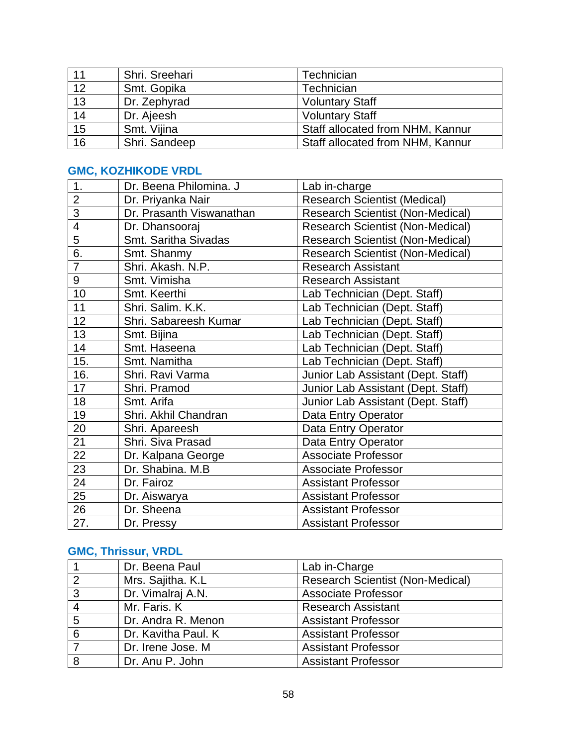| 11              | Shri. Sreehari | Technician                       |
|-----------------|----------------|----------------------------------|
| $\overline{12}$ | Smt. Gopika    | Technician                       |
| $\overline{13}$ | Dr. Zephyrad   | <b>Voluntary Staff</b>           |
| $\overline{14}$ | Dr. Ajeesh     | <b>Voluntary Staff</b>           |
| $\overline{15}$ | Smt. Vijina    | Staff allocated from NHM, Kannur |
| 16              | Shri. Sandeep  | Staff allocated from NHM, Kannur |

## **GMC, KOZHIKODE VRDL**

| 1.                       | Dr. Beena Philomina. J   | Lab in-charge                           |
|--------------------------|--------------------------|-----------------------------------------|
| $\overline{2}$           | Dr. Priyanka Nair        | <b>Research Scientist (Medical)</b>     |
| 3                        | Dr. Prasanth Viswanathan | <b>Research Scientist (Non-Medical)</b> |
| $\overline{\mathcal{A}}$ | Dr. Dhansooraj           | <b>Research Scientist (Non-Medical)</b> |
| 5                        | Smt. Saritha Sivadas     | <b>Research Scientist (Non-Medical)</b> |
| 6.                       | Smt. Shanmy              | <b>Research Scientist (Non-Medical)</b> |
| $\overline{7}$           | Shri. Akash. N.P.        | <b>Research Assistant</b>               |
| 9                        | Smt. Vimisha             | <b>Research Assistant</b>               |
| 10                       | Smt. Keerthi             | Lab Technician (Dept. Staff)            |
| 11                       | Shri. Salim. K.K.        | Lab Technician (Dept. Staff)            |
| 12                       | Shri. Sabareesh Kumar    | Lab Technician (Dept. Staff)            |
| 13                       | Smt. Bijina              | Lab Technician (Dept. Staff)            |
| 14                       | Smt. Haseena             | Lab Technician (Dept. Staff)            |
| 15.                      | Smt. Namitha             | Lab Technician (Dept. Staff)            |
| 16.                      | Shri. Ravi Varma         | Junior Lab Assistant (Dept. Staff)      |
| 17                       | Shri. Pramod             | Junior Lab Assistant (Dept. Staff)      |
| 18                       | Smt. Arifa               | Junior Lab Assistant (Dept. Staff)      |
| 19                       | Shri. Akhil Chandran     | Data Entry Operator                     |
| 20                       | Shri. Apareesh           | Data Entry Operator                     |
| 21                       | Shri. Siva Prasad        | Data Entry Operator                     |
| 22                       | Dr. Kalpana George       | <b>Associate Professor</b>              |
| 23                       | Dr. Shabina. M.B         | <b>Associate Professor</b>              |
| 24                       | Dr. Fairoz               | <b>Assistant Professor</b>              |
| 25                       | Dr. Aiswarya             | <b>Assistant Professor</b>              |
| 26                       | Dr. Sheena               | <b>Assistant Professor</b>              |
| 27.                      | Dr. Pressy               | <b>Assistant Professor</b>              |

# **GMC, Thrissur, VRDL**

|   | Dr. Beena Paul      | Lab in-Charge                           |
|---|---------------------|-----------------------------------------|
| າ | Mrs. Sajitha. K.L.  | <b>Research Scientist (Non-Medical)</b> |
| 3 | Dr. Vimalraj A.N.   | <b>Associate Professor</b>              |
|   | Mr. Faris. K        | <b>Research Assistant</b>               |
| 5 | Dr. Andra R. Menon  | <b>Assistant Professor</b>              |
| 6 | Dr. Kavitha Paul. K | <b>Assistant Professor</b>              |
|   | Dr. Irene Jose. M   | <b>Assistant Professor</b>              |
|   | Dr. Anu P. John     | <b>Assistant Professor</b>              |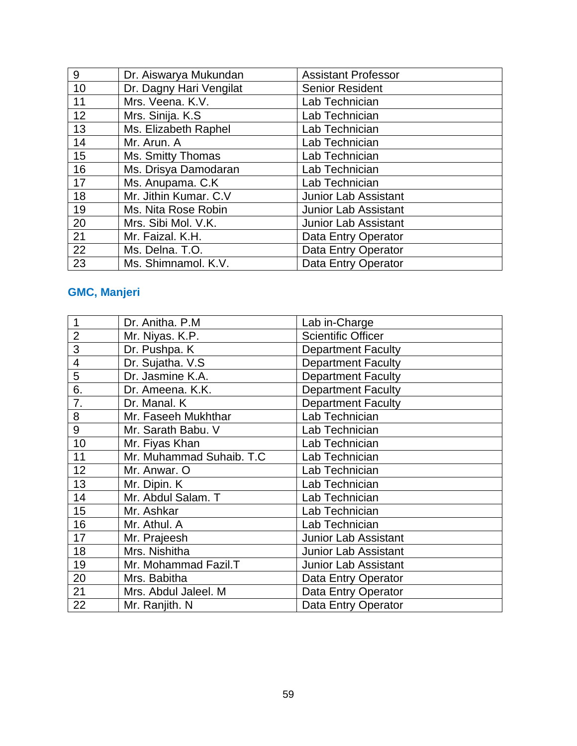| 9               | Dr. Aiswarya Mukundan   | <b>Assistant Professor</b>  |
|-----------------|-------------------------|-----------------------------|
| 10              | Dr. Dagny Hari Vengilat | <b>Senior Resident</b>      |
| 11              | Mrs. Veena. K.V.        | Lab Technician              |
| 12              | Mrs. Sinija. K.S.       | Lab Technician              |
| 13              | Ms. Elizabeth Raphel    | Lab Technician              |
| 14              | Mr. Arun. A             | Lab Technician              |
| 15              | Ms. Smitty Thomas       | Lab Technician              |
| 16              | Ms. Drisya Damodaran    | Lab Technician              |
| 17              | Ms. Anupama. C.K        | Lab Technician              |
| 18              | Mr. Jithin Kumar. C.V   | <b>Junior Lab Assistant</b> |
| 19              | Ms. Nita Rose Robin     | <b>Junior Lab Assistant</b> |
| 20              | Mrs. Sibi Mol. V.K.     | <b>Junior Lab Assistant</b> |
| 21              | Mr. Faizal. K.H.        | Data Entry Operator         |
| $\overline{22}$ | Ms. Delna. T.O.         | Data Entry Operator         |
| 23              | Ms. Shimnamol. K.V.     | Data Entry Operator         |

# **GMC, Manjeri**

| 1              | Dr. Anitha, P.M.         | Lab in-Charge               |
|----------------|--------------------------|-----------------------------|
| $\overline{2}$ | Mr. Niyas. K.P.          | <b>Scientific Officer</b>   |
| 3              | Dr. Pushpa. K            | <b>Department Faculty</b>   |
| 4              | Dr. Sujatha. V.S.        | <b>Department Faculty</b>   |
| 5              | Dr. Jasmine K.A.         | <b>Department Faculty</b>   |
| 6.             | Dr. Ameena. K.K.         | <b>Department Faculty</b>   |
| 7.             | Dr. Manal. K             | <b>Department Faculty</b>   |
| 8              | Mr. Faseeh Mukhthar      | Lab Technician              |
| 9              | Mr. Sarath Babu. V       | Lab Technician              |
| 10             | Mr. Fiyas Khan           | Lab Technician              |
| 11             | Mr. Muhammad Suhaib. T.C | Lab Technician              |
| 12             | Mr. Anwar, O             | Lab Technician              |
| 13             | Mr. Dipin. K             | Lab Technician              |
| 14             | Mr. Abdul Salam. T       | Lab Technician              |
| 15             | Mr. Ashkar               | Lab Technician              |
| 16             | Mr. Athul. A             | Lab Technician              |
| 17             | Mr. Prajeesh             | <b>Junior Lab Assistant</b> |
| 18             | Mrs. Nishitha            | Junior Lab Assistant        |
| 19             | Mr. Mohammad Fazil.T     | <b>Junior Lab Assistant</b> |
| 20             | Mrs. Babitha             | Data Entry Operator         |
| 21             | Mrs. Abdul Jaleel. M     | Data Entry Operator         |
| 22             | Mr. Ranjith. N           | Data Entry Operator         |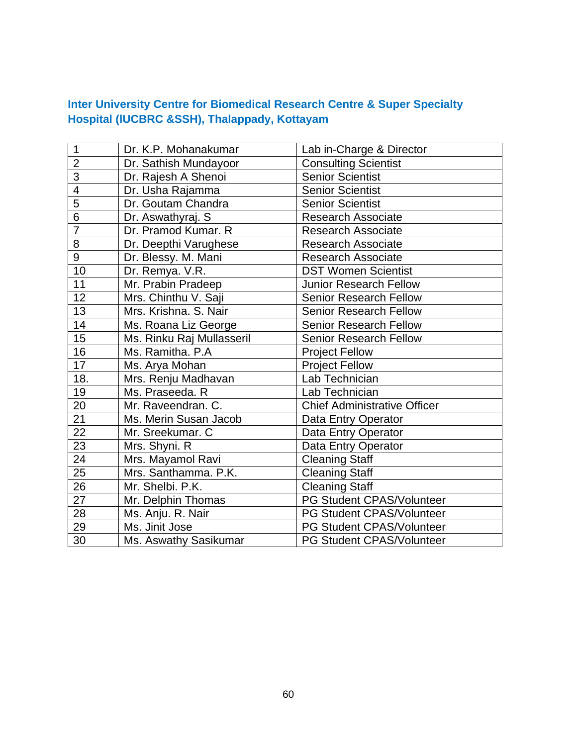## **Inter University Centre for Biomedical Research Centre & Super Specialty Hospital (lUCBRC &SSH), Thalappady, Kottayam**

| 1                        | Dr. K.P. Mohanakumar      | Lab in-Charge & Director            |
|--------------------------|---------------------------|-------------------------------------|
| $\overline{2}$           | Dr. Sathish Mundayoor     | <b>Consulting Scientist</b>         |
| $\overline{3}$           | Dr. Rajesh A Shenoi       | <b>Senior Scientist</b>             |
| $\overline{\mathcal{A}}$ | Dr. Usha Rajamma          | <b>Senior Scientist</b>             |
| 5                        | Dr. Goutam Chandra        | <b>Senior Scientist</b>             |
| $\overline{6}$           | Dr. Aswathyraj. S         | <b>Research Associate</b>           |
| $\overline{7}$           | Dr. Pramod Kumar. R       | <b>Research Associate</b>           |
| 8                        | Dr. Deepthi Varughese     | <b>Research Associate</b>           |
| 9                        | Dr. Blessy. M. Mani       | <b>Research Associate</b>           |
| 10                       | Dr. Remya. V.R.           | <b>DST Women Scientist</b>          |
| 11                       | Mr. Prabin Pradeep        | <b>Junior Research Fellow</b>       |
| 12                       | Mrs. Chinthu V. Saji      | <b>Senior Research Fellow</b>       |
| 13                       | Mrs. Krishna. S. Nair     | <b>Senior Research Fellow</b>       |
| 14                       | Ms. Roana Liz George      | <b>Senior Research Fellow</b>       |
| 15                       | Ms. Rinku Raj Mullasseril | <b>Senior Research Fellow</b>       |
| 16                       | Ms. Ramitha. P.A.         | <b>Project Fellow</b>               |
| 17                       | Ms. Arya Mohan            | <b>Project Fellow</b>               |
| 18.                      | Mrs. Renju Madhavan       | Lab Technician                      |
| 19                       | Ms. Praseeda. R           | Lab Technician                      |
| 20                       | Mr. Raveendran. C.        | <b>Chief Administrative Officer</b> |
| 21                       | Ms. Merin Susan Jacob     | Data Entry Operator                 |
| 22                       | Mr. Sreekumar. C          | Data Entry Operator                 |
| 23                       | Mrs. Shyni. R             | Data Entry Operator                 |
| 24                       | Mrs. Mayamol Ravi         | <b>Cleaning Staff</b>               |
| 25                       | Mrs. Santhamma. P.K.      | <b>Cleaning Staff</b>               |
| 26                       | Mr. Shelbi. P.K.          | <b>Cleaning Staff</b>               |
| 27                       | Mr. Delphin Thomas        | PG Student CPAS/Volunteer           |
| 28                       | Ms. Anju. R. Nair         | PG Student CPAS/Volunteer           |
| 29                       | Ms. Jinit Jose            | PG Student CPAS/Volunteer           |
| 30                       | Ms. Aswathy Sasikumar     | PG Student CPAS/Volunteer           |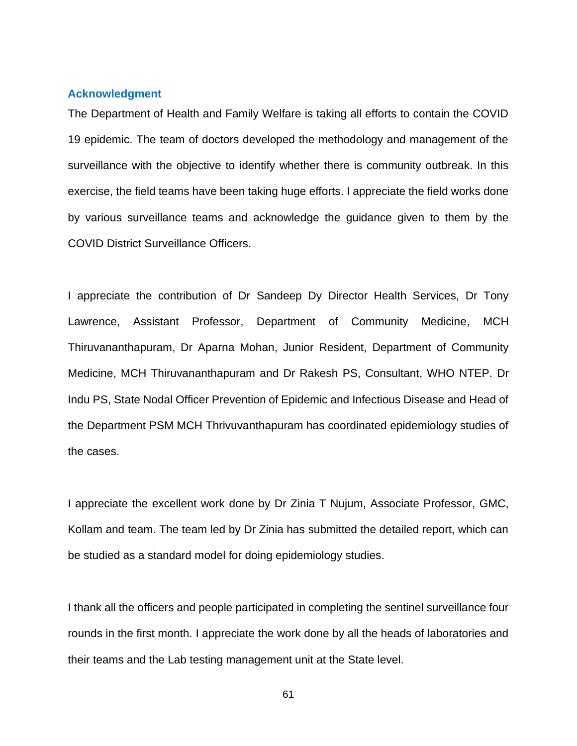#### **Acknowledgment**

The Department of Health and Family Welfare is taking all efforts to contain the COVID 19 epidemic. The team of doctors developed the methodology and management of the surveillance with the objective to identify whether there is community outbreak. In this exercise, the field teams have been taking huge efforts. I appreciate the field works done by various surveillance teams and acknowledge the guidance given to them by the COVID District Surveillance Officers.

I appreciate the contribution of Dr Sandeep Dy Director Health Services, Dr Tony Lawrence, Assistant Professor, Department of Community Medicine, MCH Thiruvananthapuram, Dr Aparna Mohan, Junior Resident, Department of Community Medicine, MCH Thiruvananthapuram and Dr Rakesh PS, Consultant, WHO NTEP. Dr Indu PS, State Nodal Officer Prevention of Epidemic and Infectious Disease and Head of the Department PSM MCH Thrivuvanthapuram has coordinated epidemiology studies of the cases.

I appreciate the excellent work done by Dr Zinia T Nujum, Associate Professor, GMC, Kollam and team. The team led by Dr Zinia has submitted the detailed report, which can be studied as a standard model for doing epidemiology studies.

I thank all the officers and people participated in completing the sentinel surveillance four rounds in the first month. I appreciate the work done by all the heads of laboratories and their teams and the Lab testing management unit at the State level.